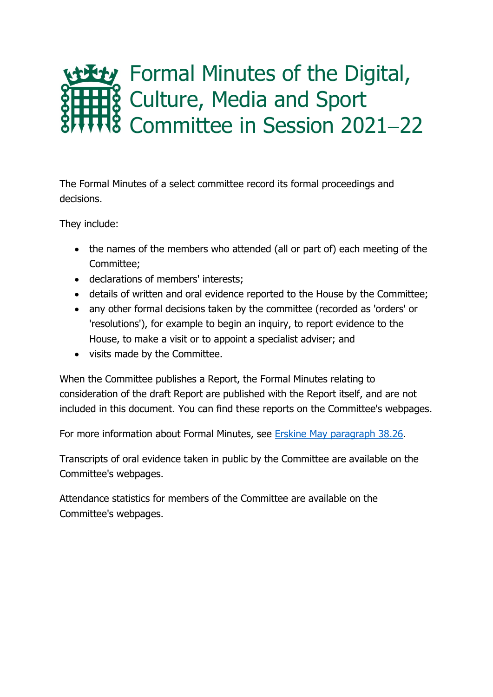# Formal Minutes of the Digital, Culture, Media and Sport Committee in Session 2021−22

The Formal Minutes of a select committee record its formal proceedings and decisions.

They include:

- the names of the members who attended (all or part of) each meeting of the Committee;
- declarations of members' interests;
- details of written and oral evidence reported to the House by the Committee;
- any other formal decisions taken by the committee (recorded as 'orders' or 'resolutions'), for example to begin an inquiry, to report evidence to the House, to make a visit or to appoint a specialist adviser; and
- visits made by the Committee.

When the Committee publishes a Report, the Formal Minutes relating to consideration of the draft Report are published with the Report itself, and are not included in this document. You can find these reports on the Committee's webpages.

For more information about Formal Minutes, see [Erskine May paragraph 38.26.](https://erskinemay.parliament.uk/section/5907/formal-minutes/)

Transcripts of oral evidence taken in public by the Committee are available on the Committee's webpages.

Attendance statistics for members of the Committee are available on the Committee's webpages.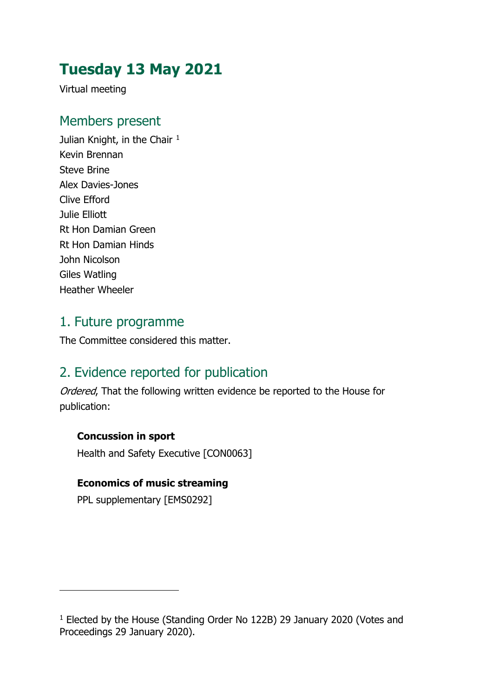# **Tuesday 13 May 2021**

Virtual meeting

#### Members present

Julian Knight, in the Chair<sup>[1](#page-1-0)</sup> Kevin Brennan Steve Brine Alex Davies-Jones Clive Efford Julie Elliott Rt Hon Damian Green Rt Hon Damian Hinds John Nicolson Giles Watling Heather Wheeler

#### 1. Future programme

The Committee considered this matter.

#### 2. Evidence reported for publication

Ordered, That the following written evidence be reported to the House for publication:

#### **Concussion in sport**

Health and Safety Executive [CON0063]

#### **Economics of music streaming**

PPL supplementary [EMS0292]

<span id="page-1-0"></span><sup>1</sup> Elected by the House (Standing Order No 122B) 29 January 2020 (Votes and Proceedings 29 January 2020).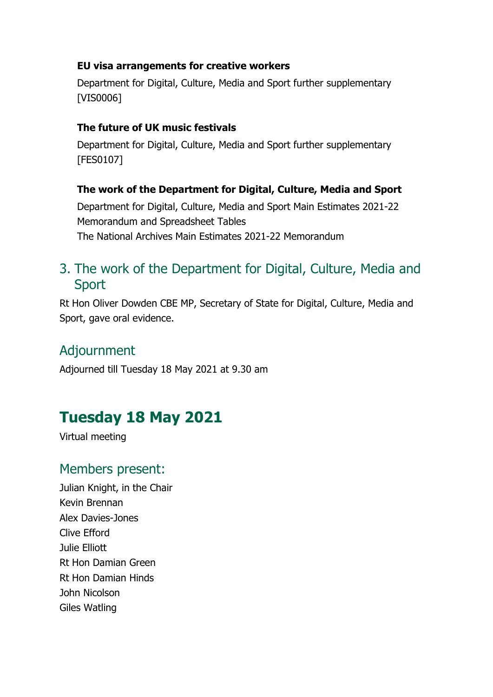#### **EU visa arrangements for creative workers**

Department for Digital, Culture, Media and Sport further supplementary [VIS0006]

#### **The future of UK music festivals**

Department for Digital, Culture, Media and Sport further supplementary [FES0107]

#### **The work of the Department for Digital, Culture, Media and Sport**

Department for Digital, Culture, Media and Sport Main Estimates 2021-22 Memorandum and Spreadsheet Tables The National Archives Main Estimates 2021-22 Memorandum

## 3. The work of the Department for Digital, Culture, Media and Sport

Rt Hon Oliver Dowden CBE MP, Secretary of State for Digital, Culture, Media and Sport, gave oral evidence.

#### Adjournment

Adjourned till Tuesday 18 May 2021 at 9.30 am

# **Tuesday 18 May 2021**

Virtual meeting

### Members present:

Julian Knight, in the Chair Kevin Brennan Alex Davies-Jones Clive Efford Julie Elliott Rt Hon Damian Green Rt Hon Damian Hinds John Nicolson Giles Watling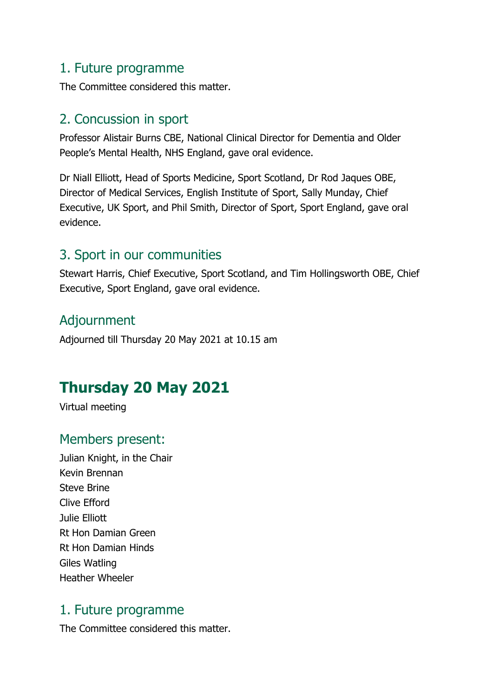#### 1. Future programme

The Committee considered this matter.

#### 2. Concussion in sport

Professor Alistair Burns CBE, National Clinical Director for Dementia and Older People's Mental Health, NHS England, gave oral evidence.

Dr Niall Elliott, Head of Sports Medicine, Sport Scotland, Dr Rod Jaques OBE, Director of Medical Services, English Institute of Sport, Sally Munday, Chief Executive, UK Sport, and Phil Smith, Director of Sport, Sport England, gave oral evidence.

### 3. Sport in our communities

Stewart Harris, Chief Executive, Sport Scotland, and Tim Hollingsworth OBE, Chief Executive, Sport England, gave oral evidence.

## Adjournment

Adjourned till Thursday 20 May 2021 at 10.15 am

# **Thursday 20 May 2021**

Virtual meeting

#### Members present:

Julian Knight, in the Chair Kevin Brennan Steve Brine Clive Efford Julie Elliott Rt Hon Damian Green Rt Hon Damian Hinds Giles Watling Heather Wheeler

#### 1. Future programme

The Committee considered this matter.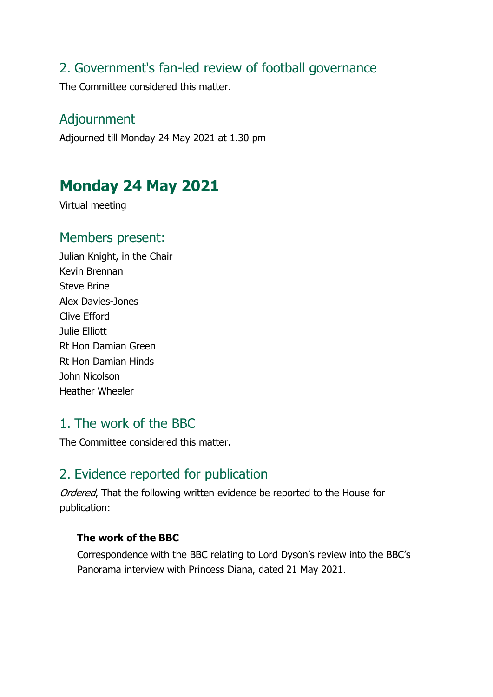#### 2. Government's fan-led review of football governance

The Committee considered this matter.

#### Adjournment

Adjourned till Monday 24 May 2021 at 1.30 pm

# **Monday 24 May 2021**

Virtual meeting

#### Members present:

Julian Knight, in the Chair Kevin Brennan Steve Brine Alex Davies-Jones Clive Efford Julie Elliott Rt Hon Damian Green Rt Hon Damian Hinds John Nicolson Heather Wheeler

### 1. The work of the BBC

The Committee considered this matter.

### 2. Evidence reported for publication

Ordered, That the following written evidence be reported to the House for publication:

#### **The work of the BBC**

Correspondence with the BBC relating to Lord Dyson's review into the BBC's Panorama interview with Princess Diana, dated 21 May 2021.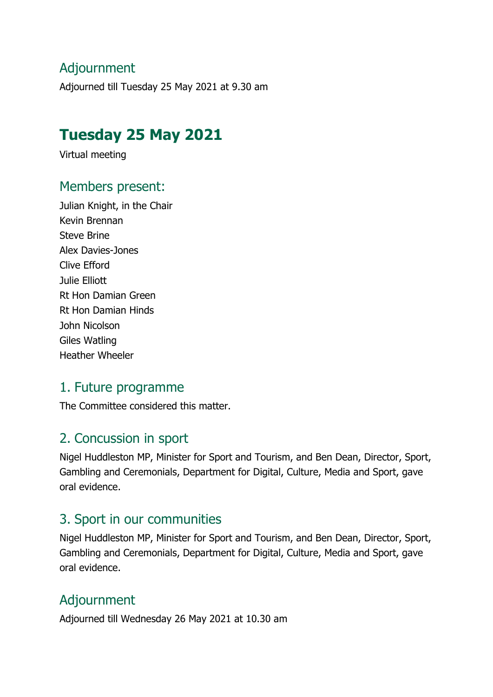## Adjournment

Adjourned till Tuesday 25 May 2021 at 9.30 am

## **Tuesday 25 May 2021**

Virtual meeting

#### Members present:

Julian Knight, in the Chair Kevin Brennan Steve Brine Alex Davies-Jones Clive Efford Julie Elliott Rt Hon Damian Green Rt Hon Damian Hinds John Nicolson Giles Watling Heather Wheeler

#### 1. Future programme

The Committee considered this matter.

### 2. Concussion in sport

Nigel Huddleston MP, Minister for Sport and Tourism, and Ben Dean, Director, Sport, Gambling and Ceremonials, Department for Digital, Culture, Media and Sport, gave oral evidence.

### 3. Sport in our communities

Nigel Huddleston MP, Minister for Sport and Tourism, and Ben Dean, Director, Sport, Gambling and Ceremonials, Department for Digital, Culture, Media and Sport, gave oral evidence.

### Adjournment

Adjourned till Wednesday 26 May 2021 at 10.30 am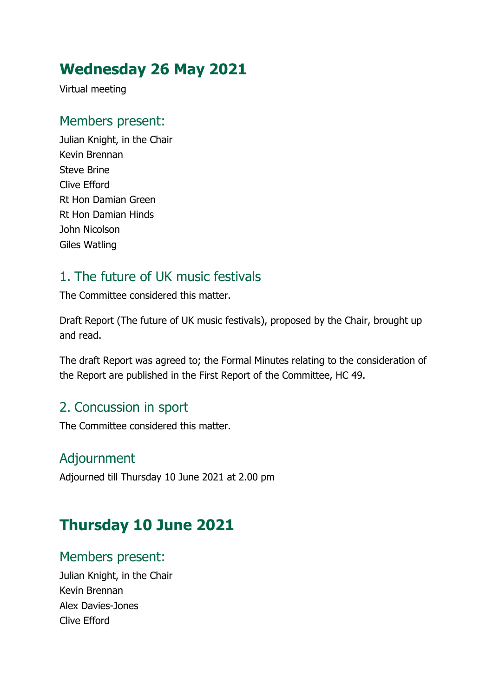# **Wednesday 26 May 2021**

Virtual meeting

## Members present:

Julian Knight, in the Chair Kevin Brennan Steve Brine Clive Efford Rt Hon Damian Green Rt Hon Damian Hinds John Nicolson Giles Watling

## 1. The future of UK music festivals

The Committee considered this matter.

Draft Report (The future of UK music festivals), proposed by the Chair, brought up and read.

The draft Report was agreed to; the Formal Minutes relating to the consideration of the Report are published in the First Report of the Committee, HC 49.

## 2. Concussion in sport

The Committee considered this matter.

### Adjournment

Adjourned till Thursday 10 June 2021 at 2.00 pm

# **Thursday 10 June 2021**

#### Members present:

Julian Knight, in the Chair Kevin Brennan Alex Davies-Jones Clive Efford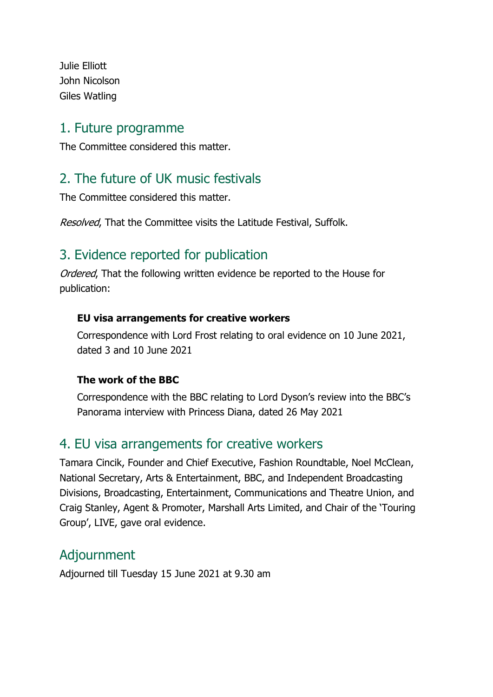Julie Elliott John Nicolson Giles Watling

#### 1. Future programme

The Committee considered this matter.

## 2. The future of UK music festivals

The Committee considered this matter.

Resolved, That the Committee visits the Latitude Festival, Suffolk.

## 3. Evidence reported for publication

Ordered. That the following written evidence be reported to the House for publication:

#### **EU visa arrangements for creative workers**

Correspondence with Lord Frost relating to oral evidence on 10 June 2021, dated 3 and 10 June 2021

#### **The work of the BBC**

Correspondence with the BBC relating to Lord Dyson's review into the BBC's Panorama interview with Princess Diana, dated 26 May 2021

#### 4. EU visa arrangements for creative workers

Tamara Cincik, Founder and Chief Executive, Fashion Roundtable, Noel McClean, National Secretary, Arts & Entertainment, BBC, and Independent Broadcasting Divisions, Broadcasting, Entertainment, Communications and Theatre Union, and Craig Stanley, Agent & Promoter, Marshall Arts Limited, and Chair of the 'Touring Group', LIVE, gave oral evidence.

#### Adjournment

Adjourned till Tuesday 15 June 2021 at 9.30 am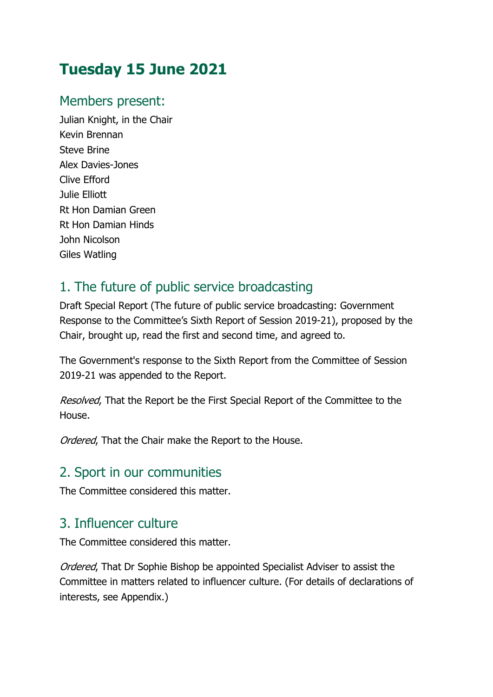# **Tuesday 15 June 2021**

## Members present:

Julian Knight, in the Chair Kevin Brennan Steve Brine Alex Davies-Jones Clive Efford Julie Elliott Rt Hon Damian Green Rt Hon Damian Hinds John Nicolson Giles Watling

## 1. The future of public service broadcasting

Draft Special Report (The future of public service broadcasting: Government Response to the Committee's Sixth Report of Session 2019-21), proposed by the Chair, brought up, read the first and second time, and agreed to.

The Government's response to the Sixth Report from the Committee of Session 2019-21 was appended to the Report.

Resolved, That the Report be the First Special Report of the Committee to the House.

Ordered, That the Chair make the Report to the House.

### 2. Sport in our communities

The Committee considered this matter.

## 3. Influencer culture

The Committee considered this matter.

Ordered, That Dr Sophie Bishop be appointed Specialist Adviser to assist the Committee in matters related to influencer culture. (For details of declarations of interests, see Appendix.)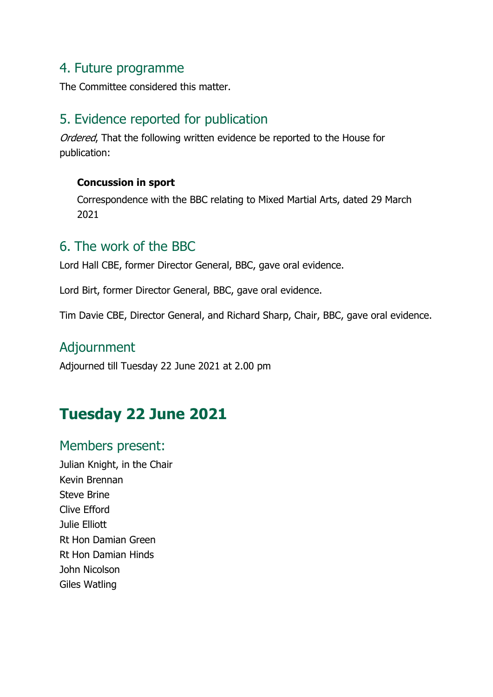#### 4. Future programme

The Committee considered this matter.

#### 5. Evidence reported for publication

Ordered, That the following written evidence be reported to the House for publication:

#### **Concussion in sport**

Correspondence with the BBC relating to Mixed Martial Arts, dated 29 March 2021

#### 6. The work of the BBC

Lord Hall CBE, former Director General, BBC, gave oral evidence.

Lord Birt, former Director General, BBC, gave oral evidence.

Tim Davie CBE, Director General, and Richard Sharp, Chair, BBC, gave oral evidence.

#### Adjournment

Adjourned till Tuesday 22 June 2021 at 2.00 pm

## **Tuesday 22 June 2021**

#### Members present:

Julian Knight, in the Chair Kevin Brennan Steve Brine Clive Efford Julie Elliott Rt Hon Damian Green Rt Hon Damian Hinds John Nicolson Giles Watling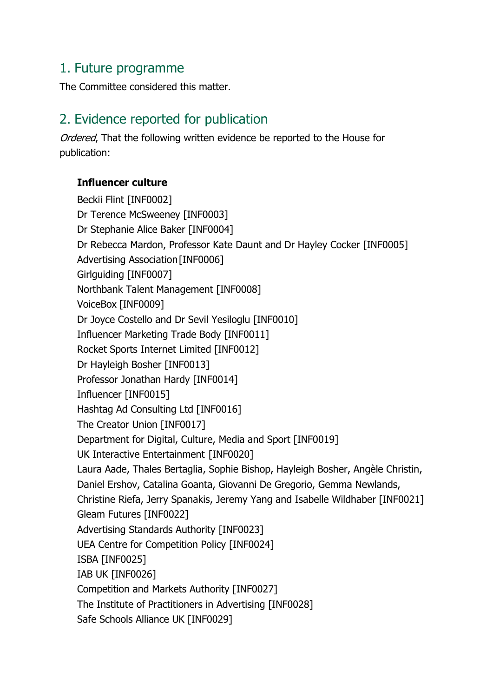#### 1. Future programme

The Committee considered this matter.

### 2. Evidence reported for publication

Ordered, That the following written evidence be reported to the House for publication:

#### **Influencer culture**

Beckii Flint [INF0002] Dr Terence McSweeney [INF0003] Dr Stephanie Alice Baker [INF0004] Dr Rebecca Mardon, Professor Kate Daunt and Dr Hayley Cocker [INF0005] Advertising Association[INF0006] Girlguiding [INF0007] Northbank Talent Management [INF0008] VoiceBox [INF0009] Dr Joyce Costello and Dr Sevil Yesiloglu [INF0010] Influencer Marketing Trade Body [INF0011] Rocket Sports Internet Limited [INF0012] Dr Hayleigh Bosher [INF0013] Professor Jonathan Hardy [INF0014] Influencer [INF0015] Hashtag Ad Consulting Ltd [INF0016] The Creator Union [INF0017] Department for Digital, Culture, Media and Sport [INF0019] UK Interactive Entertainment [INF0020] Laura Aade, Thales Bertaglia, Sophie Bishop, Hayleigh Bosher, Angèle Christin, Daniel Ershov, Catalina Goanta, Giovanni De Gregorio, Gemma Newlands, Christine Riefa, Jerry Spanakis, Jeremy Yang and Isabelle Wildhaber [INF0021] Gleam Futures [INF0022] Advertising Standards Authority [INF0023] UEA Centre for Competition Policy [INF0024] ISBA [INF0025] IAB UK [INF0026] Competition and Markets Authority [INF0027] The Institute of Practitioners in Advertising [INF0028] Safe Schools Alliance UK [INF0029]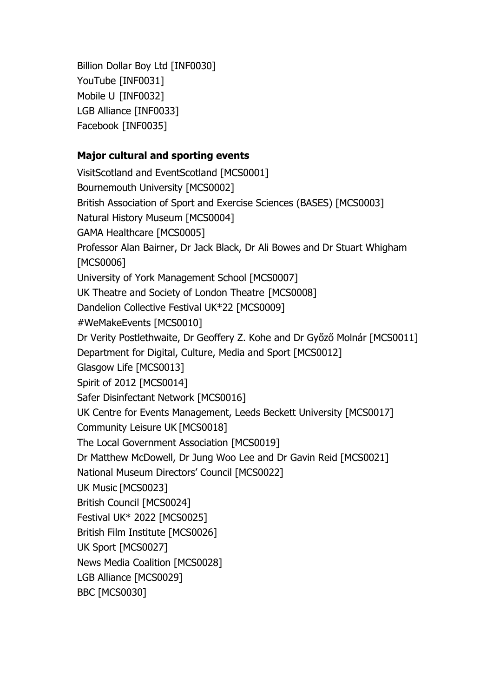Billion Dollar Boy Ltd [INF0030] YouTube [INF0031] Mobile U [INF0032] LGB Alliance [INF0033] Facebook [INF0035]

#### **Major cultural and sporting events**

VisitScotland and EventScotland [MCS0001] Bournemouth University [MCS0002] British Association of Sport and Exercise Sciences (BASES) [MCS0003] Natural History Museum [MCS0004] GAMA Healthcare [MCS0005] Professor Alan Bairner, Dr Jack Black, Dr Ali Bowes and Dr Stuart Whigham [MCS0006] University of York Management School [MCS0007] UK Theatre and Society of London Theatre [MCS0008] Dandelion Collective Festival UK\*22 [MCS0009] #WeMakeEvents [MCS0010] Dr Verity Postlethwaite, Dr Geoffery Z. Kohe and Dr Győző Molnár [MCS0011] Department for Digital, Culture, Media and Sport [MCS0012] Glasgow Life [MCS0013] Spirit of 2012 [MCS0014] Safer Disinfectant Network [MCS0016] UK Centre for Events Management, Leeds Beckett University [MCS0017] Community Leisure UK [MCS0018] The Local Government Association [MCS0019] Dr Matthew McDowell, Dr Jung Woo Lee and Dr Gavin Reid [MCS0021] National Museum Directors' Council [MCS0022] UK Music [MCS0023] British Council [MCS0024] Festival UK\* 2022 [MCS0025] British Film Institute [MCS0026] UK Sport [MCS0027] News Media Coalition [MCS0028] LGB Alliance [MCS0029] BBC [MCS0030]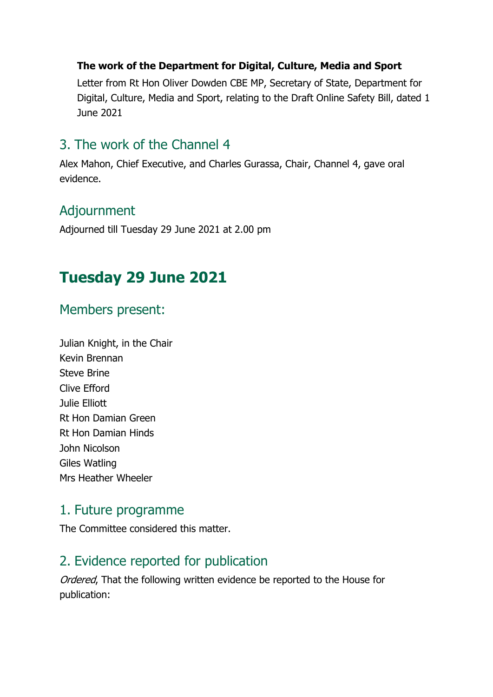#### **The work of the Department for Digital, Culture, Media and Sport**

Letter from Rt Hon Oliver Dowden CBE MP, Secretary of State, Department for Digital, Culture, Media and Sport, relating to the Draft Online Safety Bill, dated 1 June 2021

#### 3. The work of the Channel 4

Alex Mahon, Chief Executive, and Charles Gurassa, Chair, Channel 4, gave oral evidence.

### Adjournment

Adjourned till Tuesday 29 June 2021 at 2.00 pm

# **Tuesday 29 June 2021**

#### Members present:

Julian Knight, in the Chair Kevin Brennan Steve Brine Clive Efford Julie Elliott Rt Hon Damian Green Rt Hon Damian Hinds John Nicolson Giles Watling Mrs Heather Wheeler

#### 1. Future programme

The Committee considered this matter.

## 2. Evidence reported for publication

Ordered, That the following written evidence be reported to the House for publication: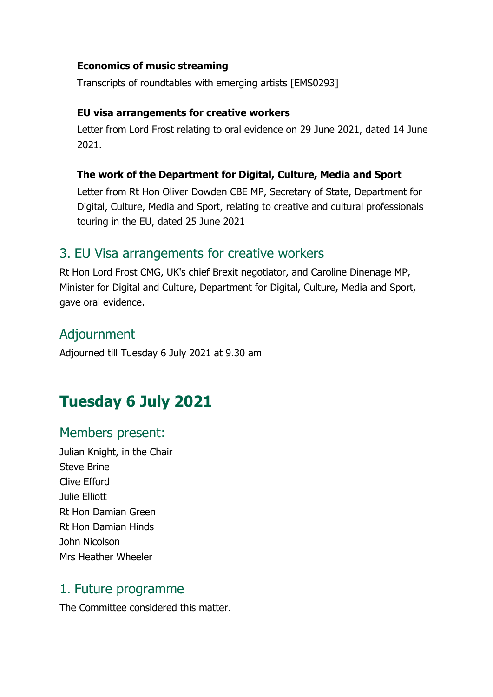#### **Economics of music streaming**

Transcripts of roundtables with emerging artists [EMS0293]

#### **EU visa arrangements for creative workers**

Letter from Lord Frost relating to oral evidence on 29 June 2021, dated 14 June 2021.

#### **The work of the Department for Digital, Culture, Media and Sport**

Letter from Rt Hon Oliver Dowden CBE MP, Secretary of State, Department for Digital, Culture, Media and Sport, relating to creative and cultural professionals touring in the EU, dated 25 June 2021

#### 3. EU Visa arrangements for creative workers

Rt Hon Lord Frost CMG, UK's chief Brexit negotiator, and Caroline Dinenage MP, Minister for Digital and Culture, Department for Digital, Culture, Media and Sport, gave oral evidence.

### Adjournment

Adjourned till Tuesday 6 July 2021 at 9.30 am

# **Tuesday 6 July 2021**

#### Members present:

Julian Knight, in the Chair Steve Brine Clive Efford Julie Elliott Rt Hon Damian Green Rt Hon Damian Hinds John Nicolson Mrs Heather Wheeler

#### 1. Future programme

The Committee considered this matter.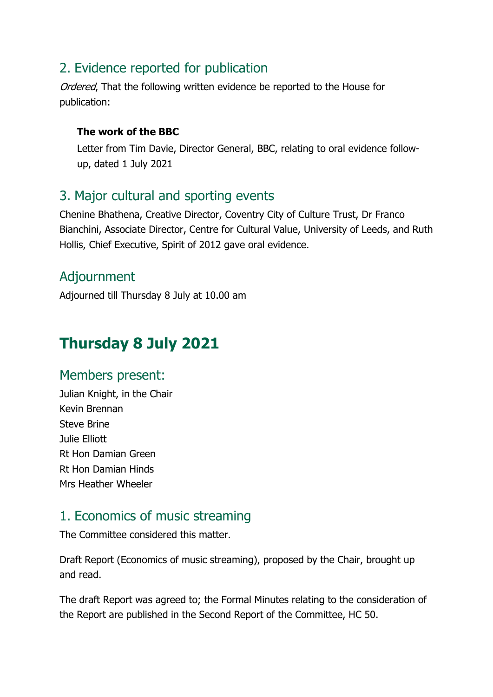## 2. Evidence reported for publication

Ordered. That the following written evidence be reported to the House for publication:

#### **The work of the BBC**

Letter from Tim Davie, Director General, BBC, relating to oral evidence followup, dated 1 July 2021

## 3. Major cultural and sporting events

Chenine Bhathena, Creative Director, Coventry City of Culture Trust, Dr Franco Bianchini, Associate Director, Centre for Cultural Value, University of Leeds, and Ruth Hollis, Chief Executive, Spirit of 2012 gave oral evidence.

## Adjournment

Adjourned till Thursday 8 July at 10.00 am

# **Thursday 8 July 2021**

#### Members present:

Julian Knight, in the Chair Kevin Brennan Steve Brine Julie Elliott Rt Hon Damian Green Rt Hon Damian Hinds Mrs Heather Wheeler

### 1. Economics of music streaming

The Committee considered this matter.

Draft Report (Economics of music streaming), proposed by the Chair, brought up and read.

The draft Report was agreed to; the Formal Minutes relating to the consideration of the Report are published in the Second Report of the Committee, HC 50.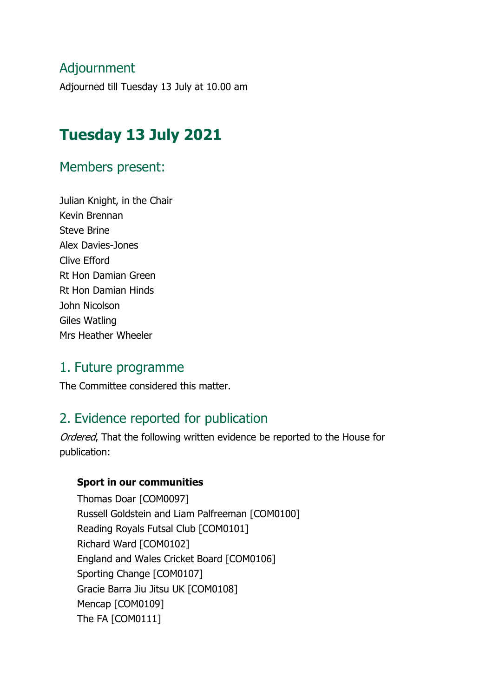### Adjournment

Adjourned till Tuesday 13 July at 10.00 am

# **Tuesday 13 July 2021**

#### Members present:

Julian Knight, in the Chair Kevin Brennan Steve Brine Alex Davies-Jones Clive Efford Rt Hon Damian Green Rt Hon Damian Hinds John Nicolson Giles Watling Mrs Heather Wheeler

#### 1. Future programme

The Committee considered this matter.

### 2. Evidence reported for publication

Ordered, That the following written evidence be reported to the House for publication:

#### **Sport in our communities**

Thomas Doar [COM0097] Russell Goldstein and Liam Palfreeman [COM0100] Reading Royals Futsal Club [COM0101] Richard Ward [COM0102] England and Wales Cricket Board [COM0106] Sporting Change [COM0107] Gracie Barra Jiu Jitsu UK [COM0108] Mencap [COM0109] The FA [COM0111]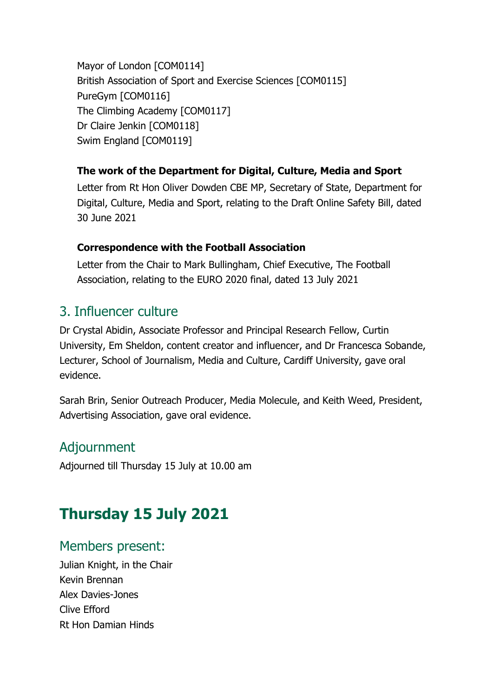Mayor of London [COM0114] British Association of Sport and Exercise Sciences [COM0115] PureGym [COM0116] The Climbing Academy [COM0117] Dr Claire Jenkin [COM0118] Swim England [COM0119]

#### **The work of the Department for Digital, Culture, Media and Sport**

Letter from Rt Hon Oliver Dowden CBE MP, Secretary of State, Department for Digital, Culture, Media and Sport, relating to the Draft Online Safety Bill, dated 30 June 2021

#### **Correspondence with the Football Association**

Letter from the Chair to Mark Bullingham, Chief Executive, The Football Association, relating to the EURO 2020 final, dated 13 July 2021

## 3. Influencer culture

Dr Crystal Abidin, Associate Professor and Principal Research Fellow, Curtin University, Em Sheldon, content creator and influencer, and Dr Francesca Sobande, Lecturer, School of Journalism, Media and Culture, Cardiff University, gave oral evidence.

Sarah Brin, Senior Outreach Producer, Media Molecule, and Keith Weed, President, Advertising Association, gave oral evidence.

### Adjournment

Adjourned till Thursday 15 July at 10.00 am

# **Thursday 15 July 2021**

#### Members present:

Julian Knight, in the Chair Kevin Brennan Alex Davies-Jones Clive Efford Rt Hon Damian Hinds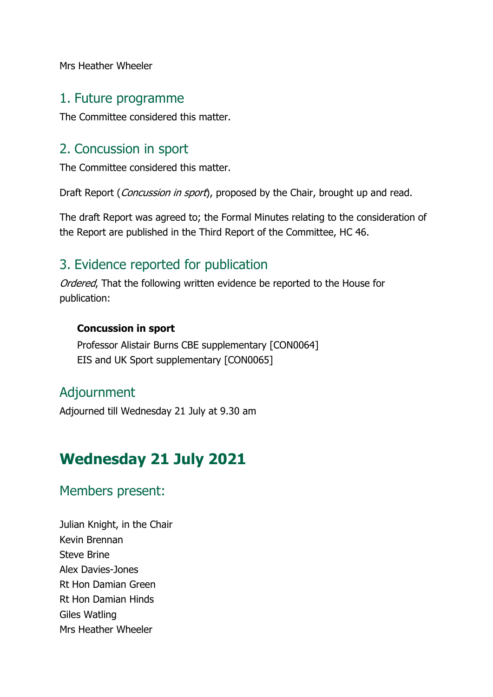Mrs Heather Wheeler

#### 1. Future programme

The Committee considered this matter.

#### 2. Concussion in sport

The Committee considered this matter.

Draft Report (*Concussion in sport*), proposed by the Chair, brought up and read.

The draft Report was agreed to; the Formal Minutes relating to the consideration of the Report are published in the Third Report of the Committee, HC 46.

#### 3. Evidence reported for publication

Ordered, That the following written evidence be reported to the House for publication:

#### **Concussion in sport**

Professor Alistair Burns CBE supplementary [CON0064] EIS and UK Sport supplementary [CON0065]

### Adjournment

Adjourned till Wednesday 21 July at 9.30 am

# **Wednesday 21 July 2021**

#### Members present:

Julian Knight, in the Chair Kevin Brennan Steve Brine Alex Davies-Jones Rt Hon Damian Green Rt Hon Damian Hinds Giles Watling Mrs Heather Wheeler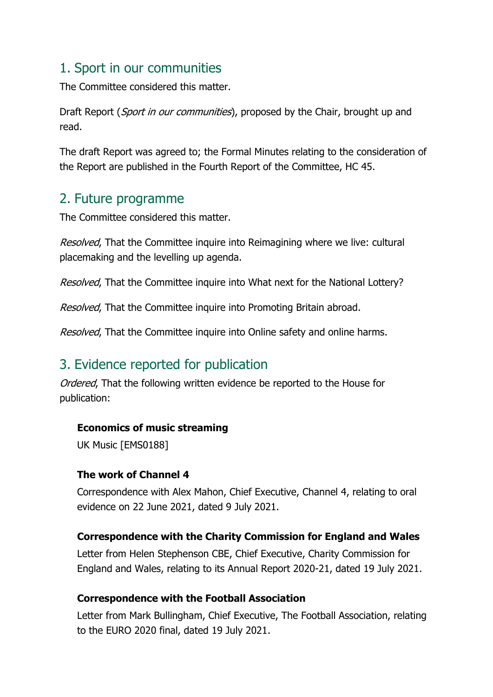## 1. Sport in our communities

The Committee considered this matter.

Draft Report (*Sport in our communities*), proposed by the Chair, brought up and read.

The draft Report was agreed to; the Formal Minutes relating to the consideration of the Report are published in the Fourth Report of the Committee, HC 45.

#### 2. Future programme

The Committee considered this matter.

Resolved. That the Committee inquire into Reimagining where we live: cultural placemaking and the levelling up agenda.

Resolved, That the Committee inquire into What next for the National Lottery?

Resolved, That the Committee inquire into Promoting Britain abroad.

Resolved, That the Committee inquire into Online safety and online harms.

## 3. Evidence reported for publication

Ordered, That the following written evidence be reported to the House for publication:

#### **Economics of music streaming**

UK Music [EMS0188]

#### **The work of Channel 4**

Correspondence with Alex Mahon, Chief Executive, Channel 4, relating to oral evidence on 22 June 2021, dated 9 July 2021.

#### **Correspondence with the Charity Commission for England and Wales**

Letter from Helen Stephenson CBE, Chief Executive, Charity Commission for England and Wales, relating to its Annual Report 2020-21, dated 19 July 2021.

#### **Correspondence with the Football Association**

Letter from Mark Bullingham, Chief Executive, The Football Association, relating to the EURO 2020 final, dated 19 July 2021.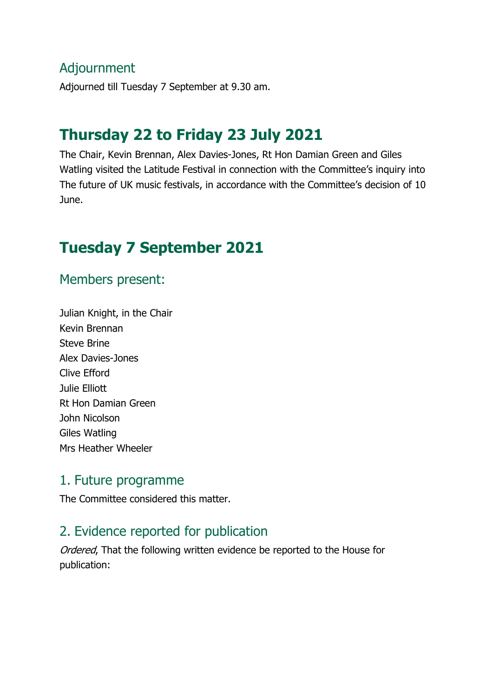#### Adjournment

Adjourned till Tuesday 7 September at 9.30 am.

## **Thursday 22 to Friday 23 July 2021**

The Chair, Kevin Brennan, Alex Davies-Jones, Rt Hon Damian Green and Giles Watling visited the Latitude Festival in connection with the Committee's inquiry into The future of UK music festivals, in accordance with the Committee's decision of 10 June.

## **Tuesday 7 September 2021**

#### Members present:

Julian Knight, in the Chair Kevin Brennan Steve Brine Alex Davies-Jones Clive Efford Julie Elliott Rt Hon Damian Green John Nicolson Giles Watling Mrs Heather Wheeler

#### 1. Future programme

The Committee considered this matter.

#### 2. Evidence reported for publication

Ordered, That the following written evidence be reported to the House for publication: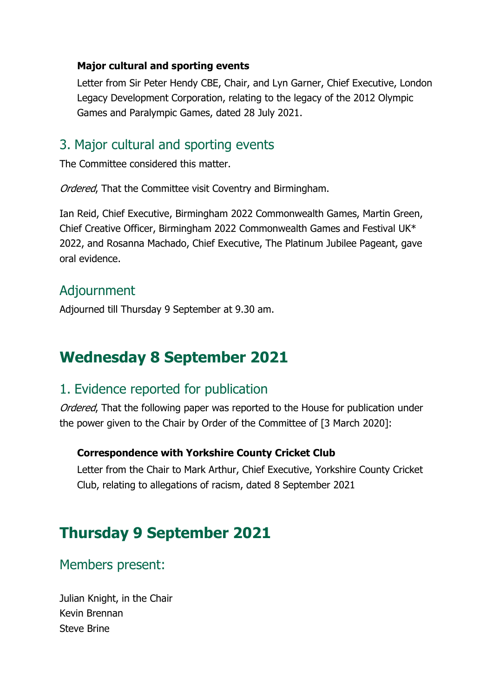#### **Major cultural and sporting events**

Letter from Sir Peter Hendy CBE, Chair, and Lyn Garner, Chief Executive, London Legacy Development Corporation, relating to the legacy of the 2012 Olympic Games and Paralympic Games, dated 28 July 2021.

#### 3. Major cultural and sporting events

The Committee considered this matter.

Ordered, That the Committee visit Coventry and Birmingham.

Ian Reid, Chief Executive, Birmingham 2022 Commonwealth Games, Martin Green, Chief Creative Officer, Birmingham 2022 Commonwealth Games and Festival UK\* 2022, and Rosanna Machado, Chief Executive, The Platinum Jubilee Pageant, gave oral evidence.

#### Adjournment

Adjourned till Thursday 9 September at 9.30 am.

## **Wednesday 8 September 2021**

#### 1. Evidence reported for publication

Ordered, That the following paper was reported to the House for publication under the power given to the Chair by Order of the Committee of [3 March 2020]:

#### **Correspondence with Yorkshire County Cricket Club**

Letter from the Chair to Mark Arthur, Chief Executive, Yorkshire County Cricket Club, relating to allegations of racism, dated 8 September 2021

## **Thursday 9 September 2021**

Members present:

Julian Knight, in the Chair Kevin Brennan Steve Brine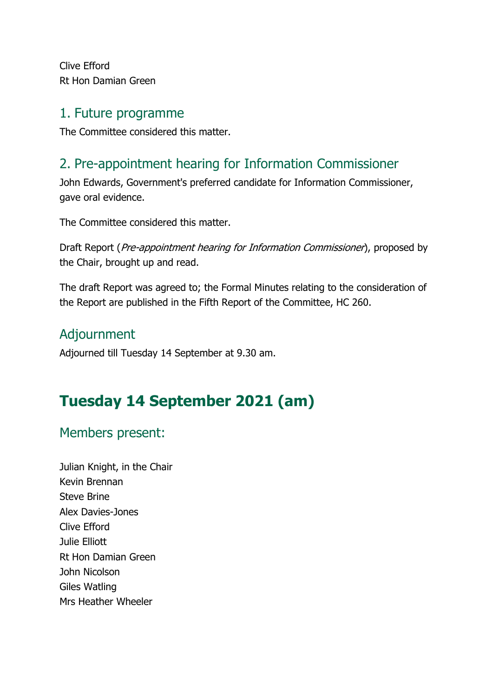Clive Efford Rt Hon Damian Green

#### 1. Future programme

The Committee considered this matter.

## 2. Pre-appointment hearing for Information Commissioner

John Edwards, Government's preferred candidate for Information Commissioner, gave oral evidence.

The Committee considered this matter.

Draft Report (*Pre-appointment hearing for Information Commissioner*), proposed by the Chair, brought up and read.

The draft Report was agreed to; the Formal Minutes relating to the consideration of the Report are published in the Fifth Report of the Committee, HC 260.

## Adjournment

Adjourned till Tuesday 14 September at 9.30 am.

# **Tuesday 14 September 2021 (am)**

### Members present:

Julian Knight, in the Chair Kevin Brennan Steve Brine Alex Davies-Jones Clive Efford Julie Elliott Rt Hon Damian Green John Nicolson Giles Watling Mrs Heather Wheeler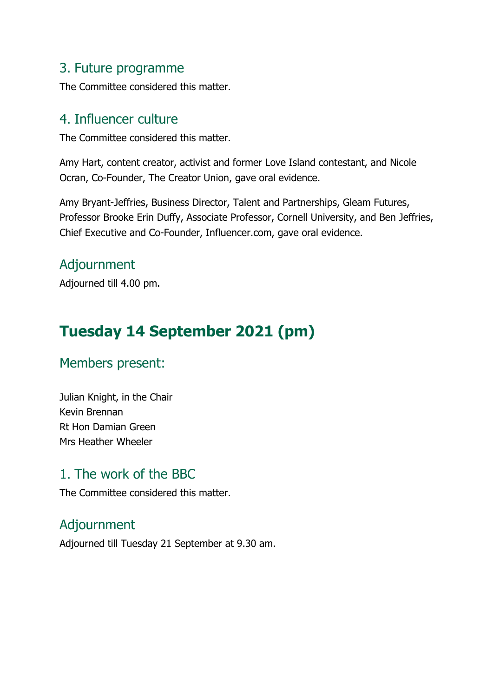#### 3. Future programme

The Committee considered this matter.

#### 4. Influencer culture

The Committee considered this matter.

Amy Hart, content creator, activist and former Love Island contestant, and Nicole Ocran, Co-Founder, The Creator Union, gave oral evidence.

Amy Bryant-Jeffries, Business Director, Talent and Partnerships, Gleam Futures, Professor Brooke Erin Duffy, Associate Professor, Cornell University, and Ben Jeffries, Chief Executive and Co-Founder, Influencer.com, gave oral evidence.

#### Adjournment

Adjourned till 4.00 pm.

# **Tuesday 14 September 2021 (pm)**

### Members present:

Julian Knight, in the Chair Kevin Brennan Rt Hon Damian Green Mrs Heather Wheeler

#### 1. The work of the BBC

The Committee considered this matter.

## Adjournment

Adjourned till Tuesday 21 September at 9.30 am.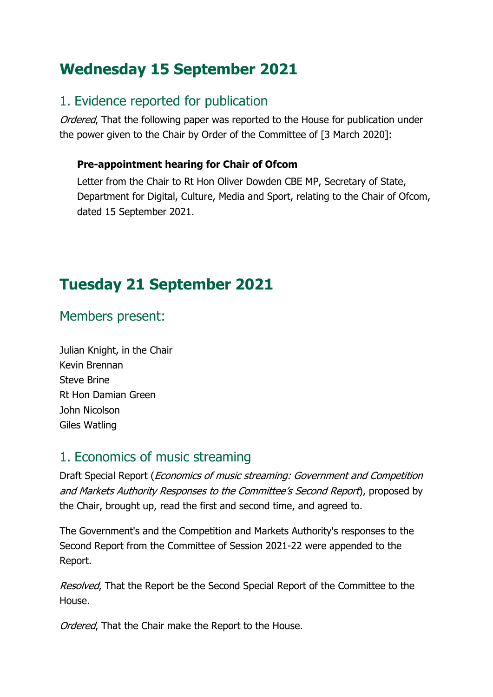# **Wednesday 15 September 2021**

## 1. Evidence reported for publication

Ordered, That the following paper was reported to the House for publication under the power given to the Chair by Order of the Committee of [3 March 2020]:

#### **Pre-appointment hearing for Chair of Ofcom**

Letter from the Chair to Rt Hon Oliver Dowden CBE MP, Secretary of State, Department for Digital, Culture, Media and Sport, relating to the Chair of Ofcom, dated 15 September 2021.

# **Tuesday 21 September 2021**

### Members present:

Julian Knight, in the Chair Kevin Brennan Steve Brine Rt Hon Damian Green John Nicolson Giles Watling

### 1. Economics of music streaming

Draft Special Report (Economics of music streaming: Government and Competition and Markets Authority Responses to the Committee's Second Report), proposed by the Chair, brought up, read the first and second time, and agreed to.

The Government's and the Competition and Markets Authority's responses to the Second Report from the Committee of Session 2021-22 were appended to the Report.

Resolved. That the Report be the Second Special Report of the Committee to the House.

Ordered, That the Chair make the Report to the House.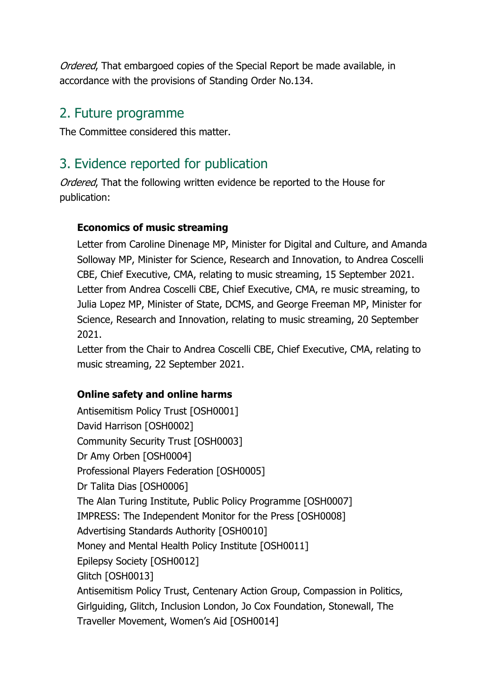Ordered, That embargoed copies of the Special Report be made available, in accordance with the provisions of Standing Order No.134.

#### 2. Future programme

The Committee considered this matter.

## 3. Evidence reported for publication

Ordered. That the following written evidence be reported to the House for publication:

#### **Economics of music streaming**

Letter from Caroline Dinenage MP, Minister for Digital and Culture, and Amanda Solloway MP, Minister for Science, Research and Innovation, to Andrea Coscelli CBE, Chief Executive, CMA, relating to music streaming, 15 September 2021. Letter from Andrea Coscelli CBE, Chief Executive, CMA, re music streaming, to Julia Lopez MP, Minister of State, DCMS, and George Freeman MP, Minister for Science, Research and Innovation, relating to music streaming, 20 September 2021.

Letter from the Chair to Andrea Coscelli CBE, Chief Executive, CMA, relating to music streaming, 22 September 2021.

#### **Online safety and online harms**

Antisemitism Policy Trust [OSH0001] David Harrison [OSH0002] Community Security Trust [OSH0003] Dr Amy Orben [OSH0004] Professional Players Federation [OSH0005] Dr Talita Dias [OSH0006] The Alan Turing Institute, Public Policy Programme [OSH0007] IMPRESS: The Independent Monitor for the Press [OSH0008] Advertising Standards Authority [OSH0010] Money and Mental Health Policy Institute [OSH0011] Epilepsy Society [OSH0012] Glitch [OSH0013] Antisemitism Policy Trust, Centenary Action Group, Compassion in Politics, Girlguiding, Glitch, Inclusion London, Jo Cox Foundation, Stonewall, The Traveller Movement, Women's Aid [OSH0014]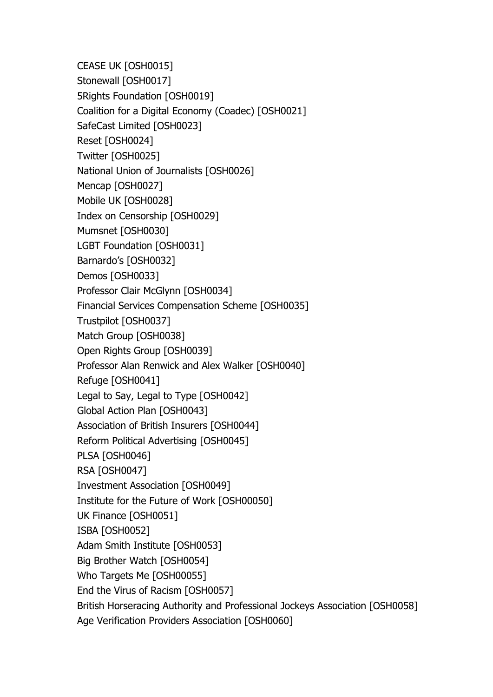CEASE UK [OSH0015] Stonewall [OSH0017] 5Rights Foundation [OSH0019] Coalition for a Digital Economy (Coadec) [OSH0021] SafeCast Limited [OSH0023] Reset [OSH0024] Twitter [OSH0025] National Union of Journalists [OSH0026] Mencap [OSH0027] Mobile UK [OSH0028] Index on Censorship [OSH0029] Mumsnet [OSH0030] LGBT Foundation [OSH0031] Barnardo's [OSH0032] Demos [OSH0033] Professor Clair McGlynn [OSH0034] Financial Services Compensation Scheme [OSH0035] Trustpilot [OSH0037] Match Group [OSH0038] Open Rights Group [OSH0039] Professor Alan Renwick and Alex Walker [OSH0040] Refuge [OSH0041] Legal to Say, Legal to Type [OSH0042] Global Action Plan [OSH0043] Association of British Insurers [OSH0044] Reform Political Advertising [OSH0045] PLSA [OSH0046] RSA [OSH0047] Investment Association [OSH0049] Institute for the Future of Work [OSH00050] UK Finance [OSH0051] ISBA [OSH0052] Adam Smith Institute [OSH0053] Big Brother Watch [OSH0054] Who Targets Me [OSH00055] End the Virus of Racism [OSH0057] British Horseracing Authority and Professional Jockeys Association [OSH0058] Age Verification Providers Association [OSH0060]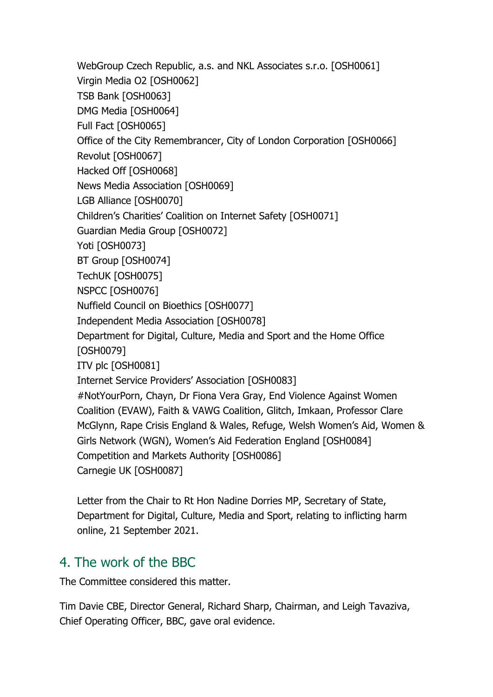WebGroup Czech Republic, a.s. and NKL Associates s.r.o. [OSH0061] Virgin Media O2 [OSH0062] TSB Bank [OSH0063] DMG Media [OSH0064] Full Fact [OSH0065] Office of the City Remembrancer, City of London Corporation [OSH0066] Revolut [OSH0067] Hacked Off [OSH0068] News Media Association [OSH0069] LGB Alliance [OSH0070] Children's Charities' Coalition on Internet Safety [OSH0071] Guardian Media Group [OSH0072] Yoti [OSH0073] BT Group [OSH0074] TechUK [OSH0075] NSPCC [OSH0076] Nuffield Council on Bioethics [OSH0077] Independent Media Association [OSH0078] Department for Digital, Culture, Media and Sport and the Home Office [OSH0079] ITV plc [OSH0081] Internet Service Providers' Association [OSH0083] #NotYourPorn, Chayn, Dr Fiona Vera Gray, End Violence Against Women Coalition (EVAW), Faith & VAWG Coalition, Glitch, Imkaan, Professor Clare McGlynn, Rape Crisis England & Wales, Refuge, Welsh Women's Aid, Women & Girls Network (WGN), Women's Aid Federation England [OSH0084] Competition and Markets Authority [OSH0086] Carnegie UK [OSH0087]

Letter from the Chair to Rt Hon Nadine Dorries MP, Secretary of State, Department for Digital, Culture, Media and Sport, relating to inflicting harm online, 21 September 2021.

### 4. The work of the BBC

The Committee considered this matter.

Tim Davie CBE, Director General, Richard Sharp, Chairman, and Leigh Tavaziva, Chief Operating Officer, BBC, gave oral evidence.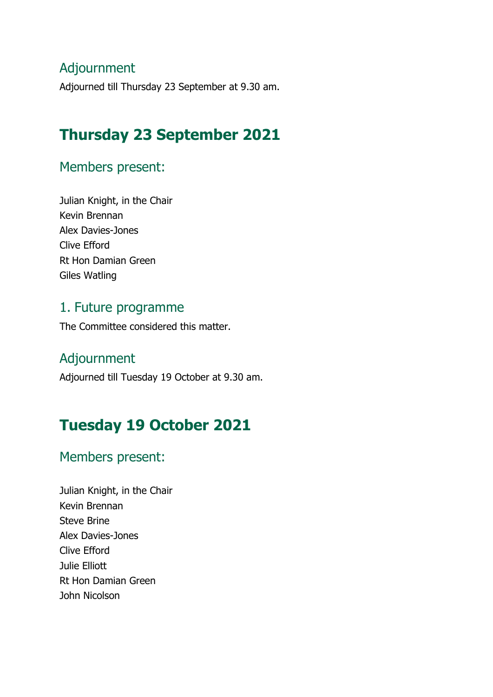#### Adjournment

Adjourned till Thursday 23 September at 9.30 am.

# **Thursday 23 September 2021**

#### Members present:

Julian Knight, in the Chair Kevin Brennan Alex Davies-Jones Clive Efford Rt Hon Damian Green Giles Watling

#### 1. Future programme

The Committee considered this matter.

#### Adjournment

Adjourned till Tuesday 19 October at 9.30 am.

# **Tuesday 19 October 2021**

#### Members present:

Julian Knight, in the Chair Kevin Brennan Steve Brine Alex Davies-Jones Clive Efford Julie Elliott Rt Hon Damian Green John Nicolson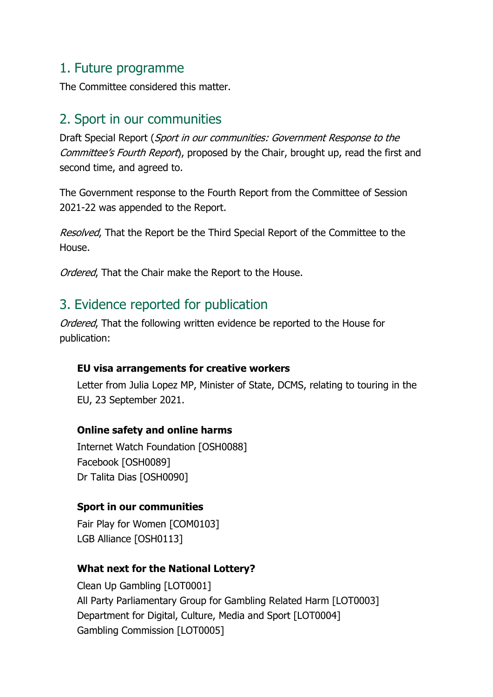#### 1. Future programme

The Committee considered this matter.

## 2. Sport in our communities

Draft Special Report (Sport in our communities: Government Response to the Committee's Fourth Report), proposed by the Chair, brought up, read the first and second time, and agreed to.

The Government response to the Fourth Report from the Committee of Session 2021-22 was appended to the Report.

Resolved. That the Report be the Third Special Report of the Committee to the House.

Ordered, That the Chair make the Report to the House.

## 3. Evidence reported for publication

Ordered, That the following written evidence be reported to the House for publication:

#### **EU visa arrangements for creative workers**

Letter from Julia Lopez MP, Minister of State, DCMS, relating to touring in the EU, 23 September 2021.

#### **Online safety and online harms**

Internet Watch Foundation [OSH0088] Facebook [OSH0089] Dr Talita Dias [OSH0090]

#### **Sport in our communities**

Fair Play for Women [COM0103] LGB Alliance [OSH0113]

#### **What next for the National Lottery?**

Clean Up Gambling [LOT0001] All Party Parliamentary Group for Gambling Related Harm [LOT0003] Department for Digital, Culture, Media and Sport [LOT0004] Gambling Commission [LOT0005]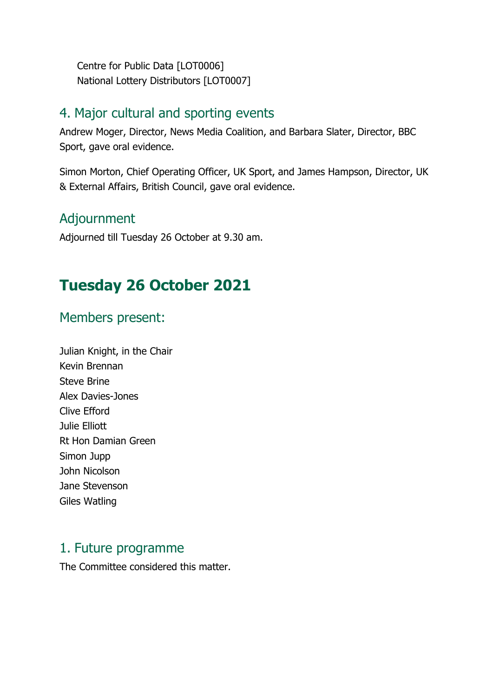Centre for Public Data [LOT0006] National Lottery Distributors [LOT0007]

#### 4. Major cultural and sporting events

Andrew Moger, Director, News Media Coalition, and Barbara Slater, Director, BBC Sport, gave oral evidence.

Simon Morton, Chief Operating Officer, UK Sport, and James Hampson, Director, UK & External Affairs, British Council, gave oral evidence.

#### Adjournment

Adjourned till Tuesday 26 October at 9.30 am.

# **Tuesday 26 October 2021**

#### Members present:

Julian Knight, in the Chair Kevin Brennan Steve Brine Alex Davies-Jones Clive Efford Julie Elliott Rt Hon Damian Green Simon Jupp John Nicolson Jane Stevenson Giles Watling

#### 1. Future programme

The Committee considered this matter.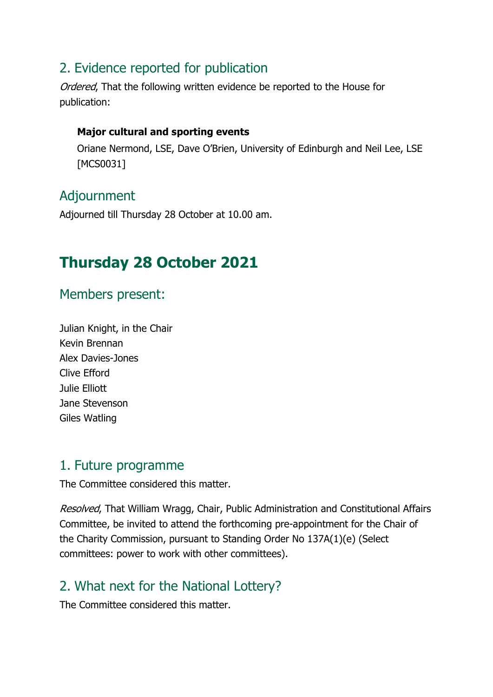## 2. Evidence reported for publication

Ordered. That the following written evidence be reported to the House for publication:

#### **Major cultural and sporting events**

Oriane Nermond, LSE, Dave O'Brien, University of Edinburgh and Neil Lee, LSE [MCS0031]

### Adjournment

Adjourned till Thursday 28 October at 10.00 am.

# **Thursday 28 October 2021**

### Members present:

Julian Knight, in the Chair Kevin Brennan Alex Davies-Jones Clive Efford Julie Elliott Jane Stevenson Giles Watling

#### 1. Future programme

The Committee considered this matter.

Resolved, That William Wragg, Chair, Public Administration and Constitutional Affairs Committee, be invited to attend the forthcoming pre-appointment for the Chair of the Charity Commission, pursuant to Standing Order No 137A(1)(e) (Select committees: power to work with other committees). 

## 2. What next for the National Lottery?

The Committee considered this matter.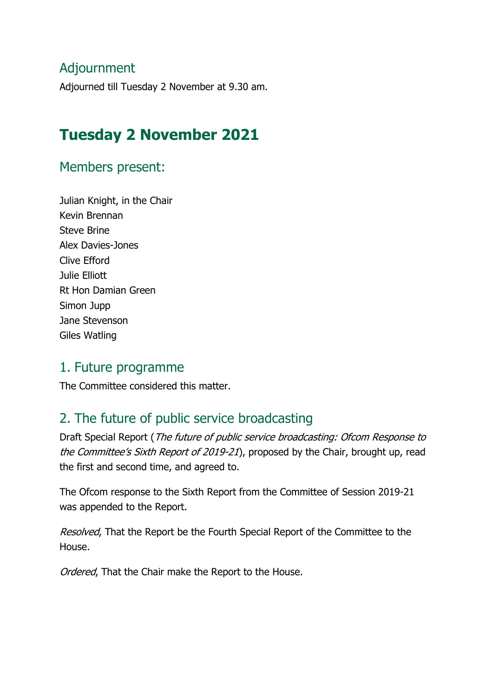### Adjournment

Adjourned till Tuesday 2 November at 9.30 am.

## **Tuesday 2 November 2021**

#### Members present:

Julian Knight, in the Chair Kevin Brennan Steve Brine Alex Davies-Jones Clive Efford Julie Elliott Rt Hon Damian Green Simon Jupp Jane Stevenson Giles Watling

#### 1. Future programme

The Committee considered this matter.

### 2. The future of public service broadcasting

Draft Special Report (The future of public service broadcasting: Ofcom Response to the Committee's Sixth Report of 2019-21), proposed by the Chair, brought up, read the first and second time, and agreed to.

The Ofcom response to the Sixth Report from the Committee of Session 2019-21 was appended to the Report.

Resolved, That the Report be the Fourth Special Report of the Committee to the House.

Ordered, That the Chair make the Report to the House.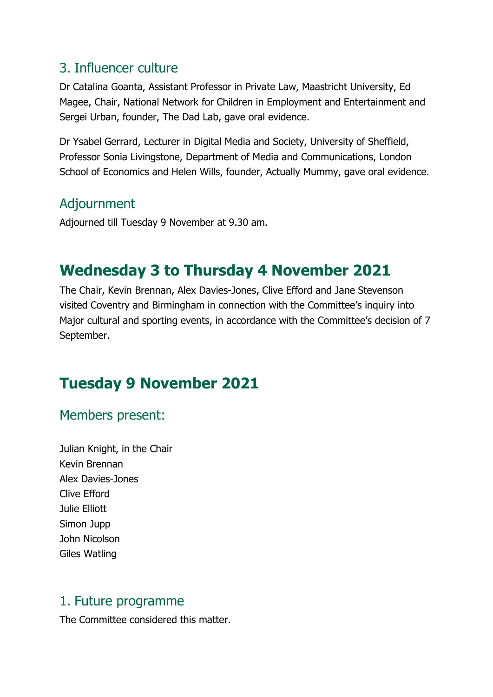#### 3. Influencer culture

Dr Catalina Goanta, Assistant Professor in Private Law, Maastricht University, Ed Magee, Chair, National Network for Children in Employment and Entertainment and Sergei Urban, founder, The Dad Lab, gave oral evidence.

Dr Ysabel Gerrard, Lecturer in Digital Media and Society, University of Sheffield, Professor Sonia Livingstone, Department of Media and Communications, London School of Economics and Helen Wills, founder, Actually Mummy, gave oral evidence.

## Adjournment

Adjourned till Tuesday 9 November at 9.30 am.

# **Wednesday 3 to Thursday 4 November 2021**

The Chair, Kevin Brennan, Alex Davies-Jones, Clive Efford and Jane Stevenson visited Coventry and Birmingham in connection with the Committee's inquiry into Major cultural and sporting events, in accordance with the Committee's decision of 7 September.

# **Tuesday 9 November 2021**

#### Members present:

Julian Knight, in the Chair Kevin Brennan Alex Davies-Jones Clive Efford Julie Elliott Simon Jupp John Nicolson Giles Watling

#### 1. Future programme

The Committee considered this matter.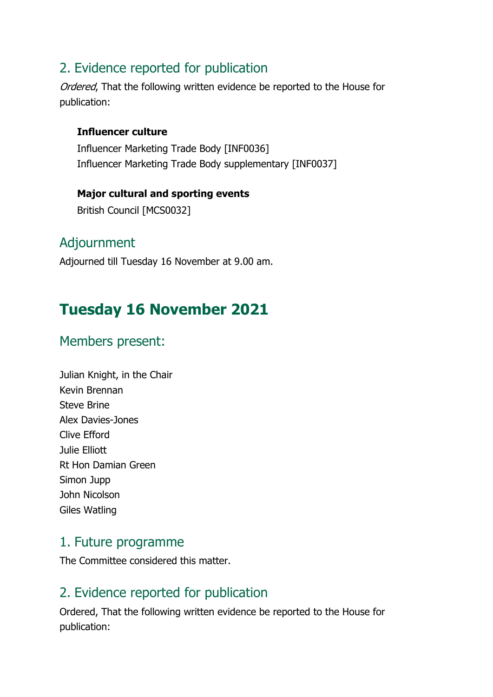## 2. Evidence reported for publication

Ordered, That the following written evidence be reported to the House for publication:

#### **Influencer culture**

Influencer Marketing Trade Body [INF0036] Influencer Marketing Trade Body supplementary [INF0037]

**Major cultural and sporting events** British Council [MCS0032]

#### Adjournment

Adjourned till Tuesday 16 November at 9.00 am.

# **Tuesday 16 November 2021**

### Members present:

| Julian Knight, in the Chair |
|-----------------------------|
| Kevin Brennan               |
| <b>Steve Brine</b>          |
| Alex Davies-Jones           |
| Clive Efford                |
| Julie Elliott               |
| <b>Rt Hon Damian Green</b>  |
| Simon Jupp                  |
| John Nicolson               |
| Giles Watling               |
|                             |

#### 1. Future programme

The Committee considered this matter.

## 2. Evidence reported for publication

Ordered, That the following written evidence be reported to the House for publication: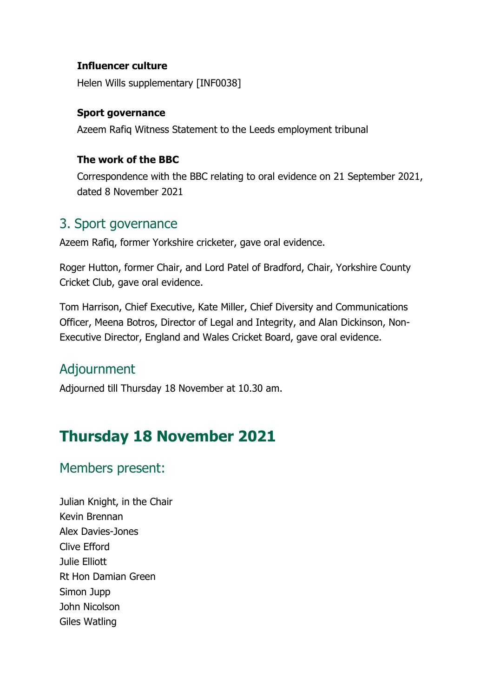#### **Influencer culture**

Helen Wills supplementary [INF0038]

#### **Sport governance**

Azeem Rafiq Witness Statement to the Leeds employment tribunal

#### **The work of the BBC**

Correspondence with the BBC relating to oral evidence on 21 September 2021, dated 8 November 2021

#### 3. Sport governance

Azeem Rafiq, former Yorkshire cricketer, gave oral evidence.

Roger Hutton, former Chair, and Lord Patel of Bradford, Chair, Yorkshire County Cricket Club, gave oral evidence.

Tom Harrison, Chief Executive, Kate Miller, Chief Diversity and Communications Officer, Meena Botros, Director of Legal and Integrity, and Alan Dickinson, Non-Executive Director, England and Wales Cricket Board, gave oral evidence.

#### Adjournment

Adjourned till Thursday 18 November at 10.30 am.

# **Thursday 18 November 2021**

#### Members present:

Julian Knight, in the Chair Kevin Brennan Alex Davies-Jones Clive Efford Julie Elliott Rt Hon Damian Green Simon Jupp John Nicolson Giles Watling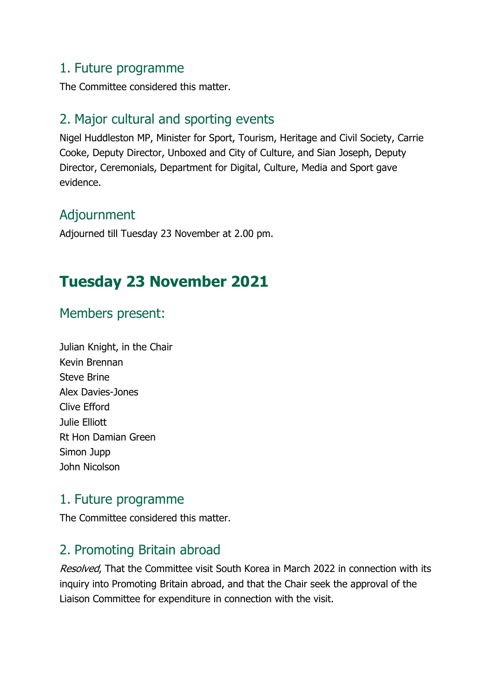#### 1. Future programme

The Committee considered this matter.

## 2. Major cultural and sporting events

Nigel Huddleston MP, Minister for Sport, Tourism, Heritage and Civil Society, Carrie Cooke, Deputy Director, Unboxed and City of Culture, and Sian Joseph, Deputy Director, Ceremonials, Department for Digital, Culture, Media and Sport gave evidence.

### Adjournment

Adjourned till Tuesday 23 November at 2.00 pm.

# **Tuesday 23 November 2021**

## Members present:

| Julian Knight, in the Chair |
|-----------------------------|
| Kevin Brennan               |
| <b>Steve Brine</b>          |
| Alex Davies-Jones           |
| Clive Efford                |
| Julie Elliott               |
| Rt Hon Damian Green         |
| Simon Jupp                  |
| John Nicolson               |
|                             |

#### 1. Future programme

The Committee considered this matter.

## 2. Promoting Britain abroad

Resolved, That the Committee visit South Korea in March 2022 in connection with its inquiry into Promoting Britain abroad, and that the Chair seek the approval of the Liaison Committee for expenditure in connection with the visit.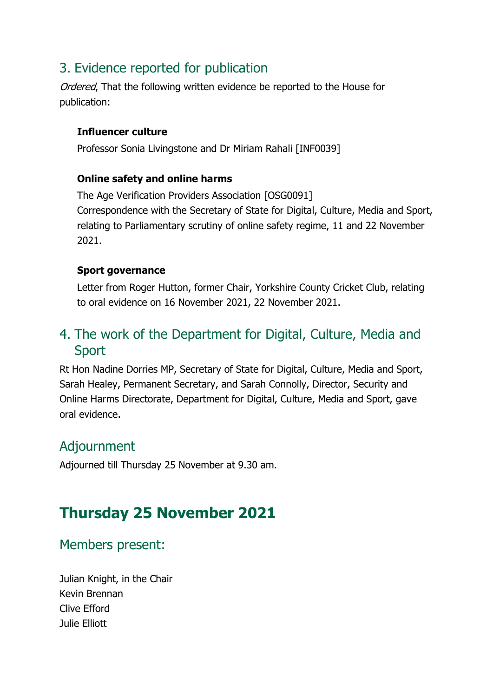# 3. Evidence reported for publication

Ordered. That the following written evidence be reported to the House for publication:

#### **Influencer culture**

Professor Sonia Livingstone and Dr Miriam Rahali [INF0039]

#### **Online safety and online harms**

The Age Verification Providers Association [OSG0091] Correspondence with the Secretary of State for Digital, Culture, Media and Sport, relating to Parliamentary scrutiny of online safety regime, 11 and 22 November 2021.

#### **Sport governance**

Letter from Roger Hutton, former Chair, Yorkshire County Cricket Club, relating to oral evidence on 16 November 2021, 22 November 2021.

# 4. The work of the Department for Digital, Culture, Media and Sport

Rt Hon Nadine Dorries MP, Secretary of State for Digital, Culture, Media and Sport, Sarah Healey, Permanent Secretary, and Sarah Connolly, Director, Security and Online Harms Directorate, Department for Digital, Culture, Media and Sport, gave oral evidence.

#### Adjournment

Adjourned till Thursday 25 November at 9.30 am.

# **Thursday 25 November 2021**

#### Members present:

Julian Knight, in the Chair Kevin Brennan Clive Efford Julie Elliott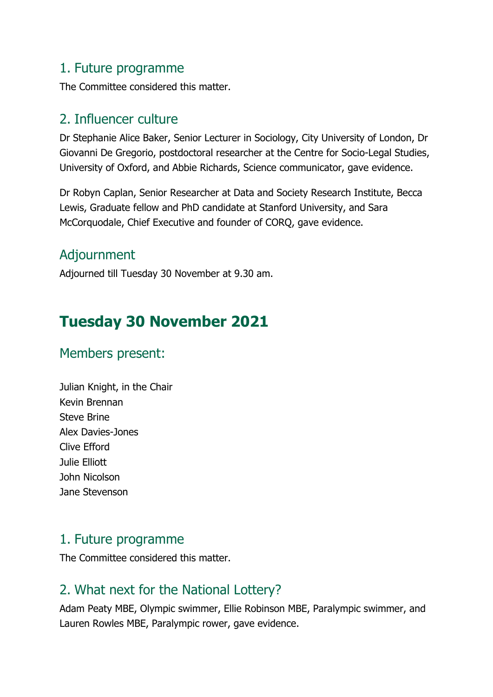#### 1. Future programme

The Committee considered this matter.

### 2. Influencer culture

Dr Stephanie Alice Baker, Senior Lecturer in Sociology, City University of London, Dr Giovanni De Gregorio, postdoctoral researcher at the Centre for Socio-Legal Studies, University of Oxford, and Abbie Richards, Science communicator, gave evidence.

Dr Robyn Caplan, Senior Researcher at Data and Society Research Institute, Becca Lewis, Graduate fellow and PhD candidate at Stanford University, and Sara McCorquodale, Chief Executive and founder of CORQ, gave evidence.

# Adjournment

Adjourned till Tuesday 30 November at 9.30 am.

# **Tuesday 30 November 2021**

## Members present:

Julian Knight, in the Chair Kevin Brennan Steve Brine Alex Davies-Jones Clive Efford Julie Elliott John Nicolson Jane Stevenson

## 1. Future programme

The Committee considered this matter.

# 2. What next for the National Lottery?

Adam Peaty MBE, Olympic swimmer, Ellie Robinson MBE, Paralympic swimmer, and Lauren Rowles MBE, Paralympic rower, gave evidence.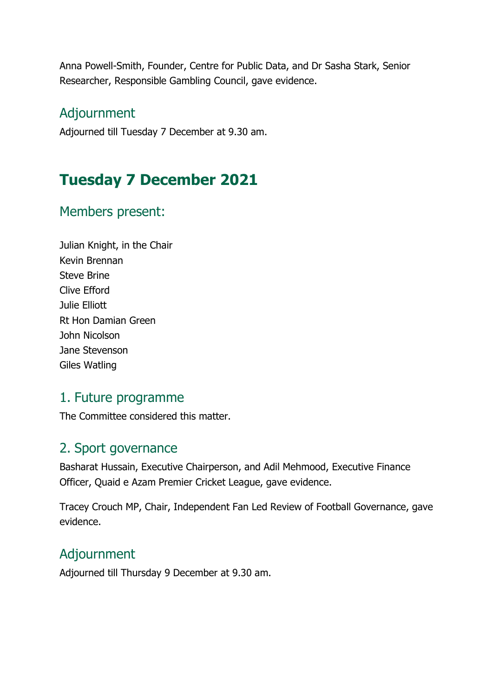Anna Powell-Smith, Founder, Centre for Public Data, and Dr Sasha Stark, Senior Researcher, Responsible Gambling Council, gave evidence.

#### Adjournment

Adjourned till Tuesday 7 December at 9.30 am.

# **Tuesday 7 December 2021**

### Members present:

Julian Knight, in the Chair Kevin Brennan Steve Brine Clive Efford Julie Elliott Rt Hon Damian Green John Nicolson Jane Stevenson Giles Watling

#### 1. Future programme

The Committee considered this matter.

#### 2. Sport governance

Basharat Hussain, Executive Chairperson, and Adil Mehmood, Executive Finance Officer, Quaid e Azam Premier Cricket League, gave evidence.

Tracey Crouch MP, Chair, Independent Fan Led Review of Football Governance, gave evidence.

#### Adjournment

Adjourned till Thursday 9 December at 9.30 am.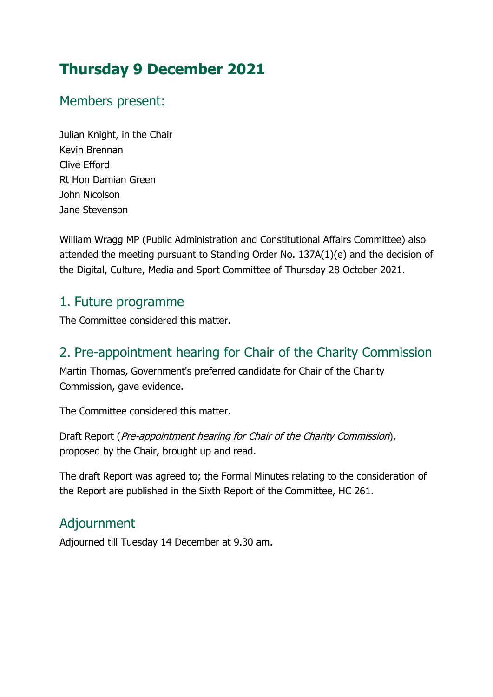# **Thursday 9 December 2021**

## Members present:

Julian Knight, in the Chair Kevin Brennan Clive Efford Rt Hon Damian Green John Nicolson Jane Stevenson

William Wragg MP (Public Administration and Constitutional Affairs Committee) also attended the meeting pursuant to Standing Order No. 137A(1)(e) and the decision of the Digital, Culture, Media and Sport Committee of Thursday 28 October 2021.

#### 1. Future programme

The Committee considered this matter.

## 2. Pre-appointment hearing for Chair of the Charity Commission

Martin Thomas, Government's preferred candidate for Chair of the Charity Commission, gave evidence.

The Committee considered this matter.

Draft Report (Pre-appointment hearing for Chair of the Charity Commission), proposed by the Chair, brought up and read.

The draft Report was agreed to; the Formal Minutes relating to the consideration of the Report are published in the Sixth Report of the Committee, HC 261.

# Adjournment

Adjourned till Tuesday 14 December at 9.30 am.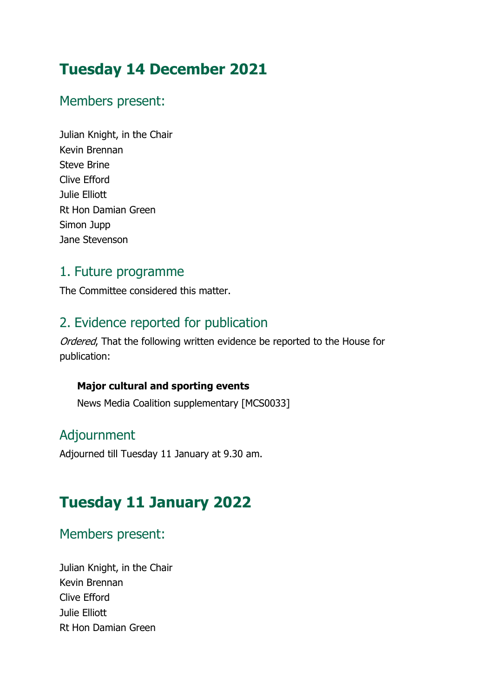# **Tuesday 14 December 2021**

### Members present:

Julian Knight, in the Chair Kevin Brennan Steve Brine Clive Efford Julie Elliott Rt Hon Damian Green Simon Jupp Jane Stevenson

### 1. Future programme

The Committee considered this matter.

# 2. Evidence reported for publication

Ordered, That the following written evidence be reported to the House for publication:

#### **Major cultural and sporting events**

News Media Coalition supplementary [MCS0033]

## Adjournment

Adjourned till Tuesday 11 January at 9.30 am.

# **Tuesday 11 January 2022**

## Members present:

Julian Knight, in the Chair Kevin Brennan Clive Efford Julie Elliott Rt Hon Damian Green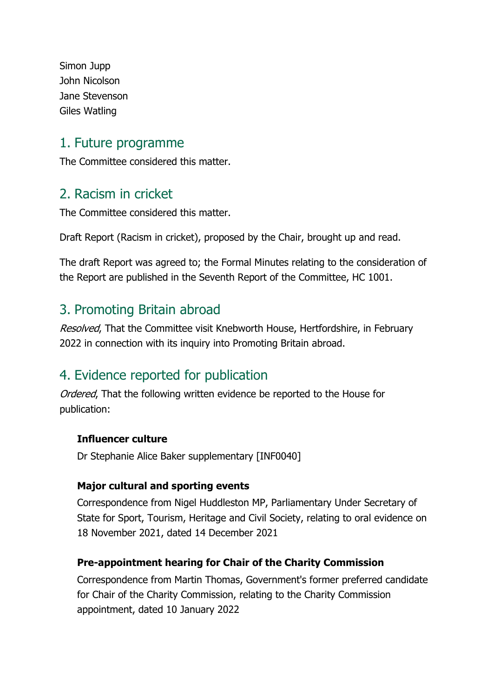Simon Jupp John Nicolson Jane Stevenson Giles Watling

#### 1. Future programme

The Committee considered this matter.

#### 2. Racism in cricket

The Committee considered this matter.

Draft Report (Racism in cricket), proposed by the Chair, brought up and read.

The draft Report was agreed to; the Formal Minutes relating to the consideration of the Report are published in the Seventh Report of the Committee, HC 1001.

#### 3. Promoting Britain abroad

Resolved, That the Committee visit Knebworth House, Hertfordshire, in February 2022 in connection with its inquiry into Promoting Britain abroad.

## 4. Evidence reported for publication

Ordered, That the following written evidence be reported to the House for publication:

#### **Influencer culture**

Dr Stephanie Alice Baker supplementary [INF0040]

#### **Major cultural and sporting events**

Correspondence from Nigel Huddleston MP, Parliamentary Under Secretary of State for Sport, Tourism, Heritage and Civil Society, relating to oral evidence on 18 November 2021, dated 14 December 2021

#### **Pre-appointment hearing for Chair of the Charity Commission**

Correspondence from Martin Thomas, Government's former preferred candidate for Chair of the Charity Commission, relating to the Charity Commission appointment, dated 10 January 2022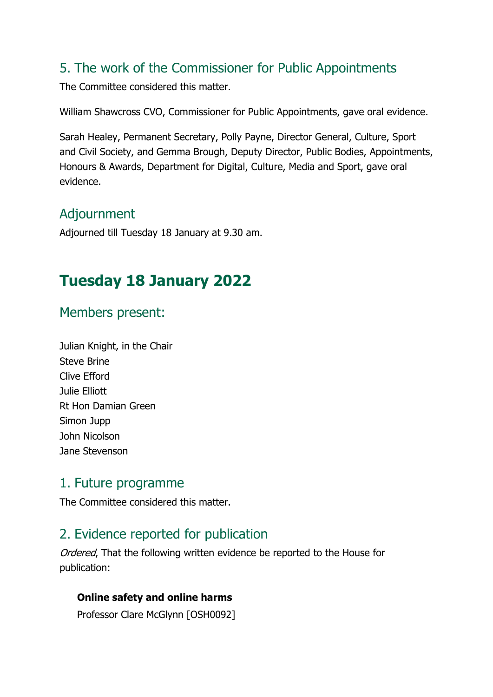## 5. The work of the Commissioner for Public Appointments

The Committee considered this matter.

William Shawcross CVO, Commissioner for Public Appointments, gave oral evidence.

Sarah Healey, Permanent Secretary, Polly Payne, Director General, Culture, Sport and Civil Society, and Gemma Brough, Deputy Director, Public Bodies, Appointments, Honours & Awards, Department for Digital, Culture, Media and Sport, gave oral evidence.

## Adjournment

Adjourned till Tuesday 18 January at 9.30 am.

# **Tuesday 18 January 2022**

## Members present:

Julian Knight, in the Chair Steve Brine Clive Efford Julie Elliott Rt Hon Damian Green Simon Jupp John Nicolson Jane Stevenson

#### 1. Future programme

The Committee considered this matter.

# 2. Evidence reported for publication

Ordered, That the following written evidence be reported to the House for publication:

#### **Online safety and online harms**

Professor Clare McGlynn [OSH0092]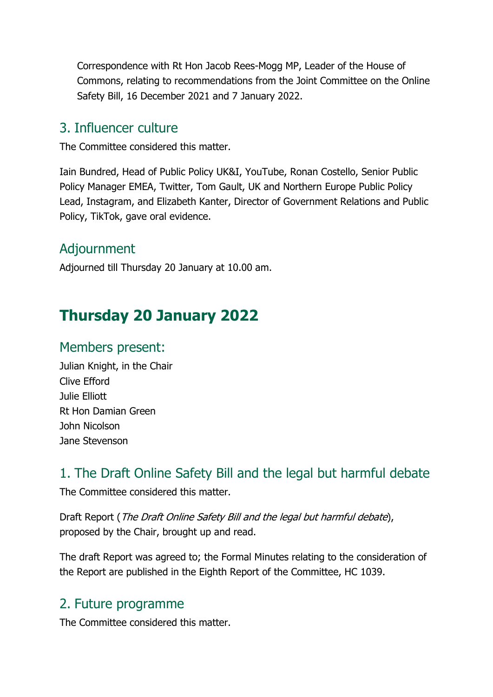Correspondence with Rt Hon Jacob Rees-Mogg MP, Leader of the House of Commons, relating to recommendations from the Joint Committee on the Online Safety Bill, 16 December 2021 and 7 January 2022.

#### 3. Influencer culture

The Committee considered this matter.

Iain Bundred, Head of Public Policy UK&I, YouTube, Ronan Costello, Senior Public Policy Manager EMEA, Twitter, Tom Gault, UK and Northern Europe Public Policy Lead, Instagram, and Elizabeth Kanter, Director of Government Relations and Public Policy, TikTok, gave oral evidence.

## Adjournment

Adjourned till Thursday 20 January at 10.00 am.

# **Thursday 20 January 2022**

### Members present:

Julian Knight, in the Chair Clive Efford Julie Elliott Rt Hon Damian Green John Nicolson Jane Stevenson

## 1. The Draft Online Safety Bill and the legal but harmful debate

The Committee considered this matter.

Draft Report (The Draft Online Safety Bill and the legal but harmful debate), proposed by the Chair, brought up and read.

The draft Report was agreed to; the Formal Minutes relating to the consideration of the Report are published in the Eighth Report of the Committee, HC 1039.

## 2. Future programme

The Committee considered this matter.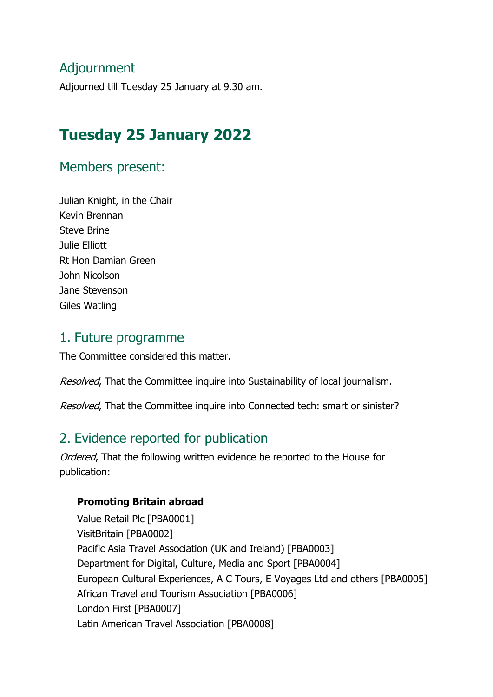### Adjournment

Adjourned till Tuesday 25 January at 9.30 am.

# **Tuesday 25 January 2022**

#### Members present:

Julian Knight, in the Chair Kevin Brennan Steve Brine Julie Elliott Rt Hon Damian Green John Nicolson Jane Stevenson Giles Watling

#### 1. Future programme

The Committee considered this matter.

Resolved, That the Committee inquire into Sustainability of local journalism.

Resolved, That the Committee inquire into Connected tech: smart or sinister?

## 2. Evidence reported for publication

Ordered. That the following written evidence be reported to the House for publication:

#### **Promoting Britain abroad**

Value Retail Plc [PBA0001] VisitBritain [PBA0002] Pacific Asia Travel Association (UK and Ireland) [PBA0003] Department for Digital, Culture, Media and Sport [PBA0004] European Cultural Experiences, A C Tours, E Voyages Ltd and others [PBA0005] African Travel and Tourism Association [PBA0006] London First [PBA0007] Latin American Travel Association [PBA0008]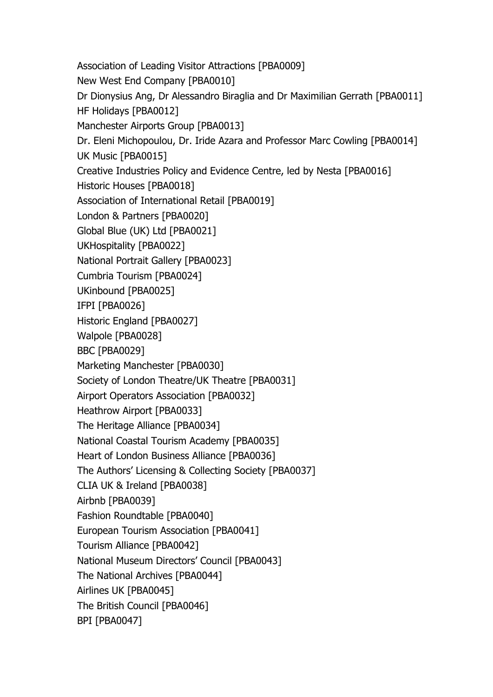Association of Leading Visitor Attractions [PBA0009] New West End Company [PBA0010] Dr Dionysius Ang, Dr Alessandro Biraglia and Dr Maximilian Gerrath [PBA0011] HF Holidays [PBA0012] Manchester Airports Group [PBA0013] Dr. Eleni Michopoulou, Dr. Iride Azara and Professor Marc Cowling [PBA0014] UK Music [PBA0015] Creative Industries Policy and Evidence Centre, led by Nesta [PBA0016] Historic Houses [PBA0018] Association of International Retail [PBA0019] London & Partners [PBA0020] Global Blue (UK) Ltd [PBA0021] UKHospitality [PBA0022] National Portrait Gallery [PBA0023] Cumbria Tourism [PBA0024] UKinbound [PBA0025] IFPI [PBA0026] Historic England [PBA0027] Walpole [PBA0028] BBC [PBA0029] Marketing Manchester [PBA0030] Society of London Theatre/UK Theatre [PBA0031] Airport Operators Association [PBA0032] Heathrow Airport [PBA0033] The Heritage Alliance [PBA0034] National Coastal Tourism Academy [PBA0035] Heart of London Business Alliance [PBA0036] The Authors' Licensing & Collecting Society [PBA0037] CLIA UK & Ireland [PBA0038] Airbnb [PBA0039] Fashion Roundtable [PBA0040] European Tourism Association [PBA0041] Tourism Alliance [PBA0042] National Museum Directors' Council [PBA0043] The National Archives [PBA0044] Airlines UK [PBA0045] The British Council [PBA0046] BPI [PBA0047]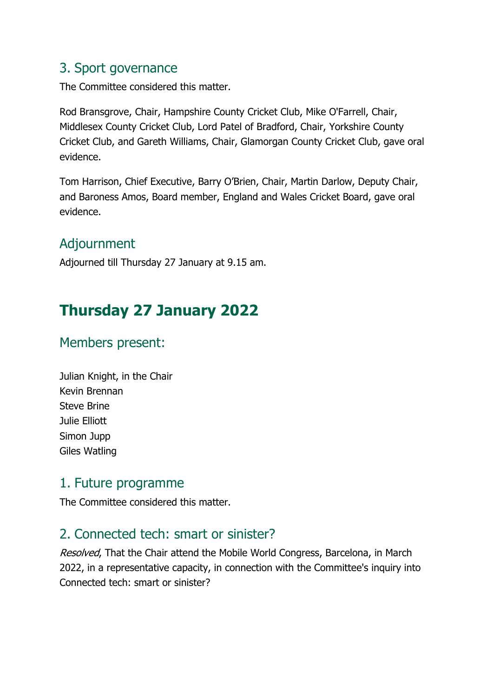### 3. Sport governance

The Committee considered this matter.

Rod Bransgrove, Chair, Hampshire County Cricket Club, Mike O'Farrell, Chair, Middlesex County Cricket Club, Lord Patel of Bradford, Chair, Yorkshire County Cricket Club, and Gareth Williams, Chair, Glamorgan County Cricket Club, gave oral evidence.

Tom Harrison, Chief Executive, Barry O'Brien, Chair, Martin Darlow, Deputy Chair, and Baroness Amos, Board member, England and Wales Cricket Board, gave oral evidence.

# Adjournment

Adjourned till Thursday 27 January at 9.15 am.

# **Thursday 27 January 2022**

## Members present:

Julian Knight, in the Chair Kevin Brennan Steve Brine Julie Elliott Simon Jupp Giles Watling

#### 1. Future programme

The Committee considered this matter.

# 2. Connected tech: smart or sinister?

Resolved, That the Chair attend the Mobile World Congress, Barcelona, in March 2022, in a representative capacity, in connection with the Committee's inquiry into Connected tech: smart or sinister?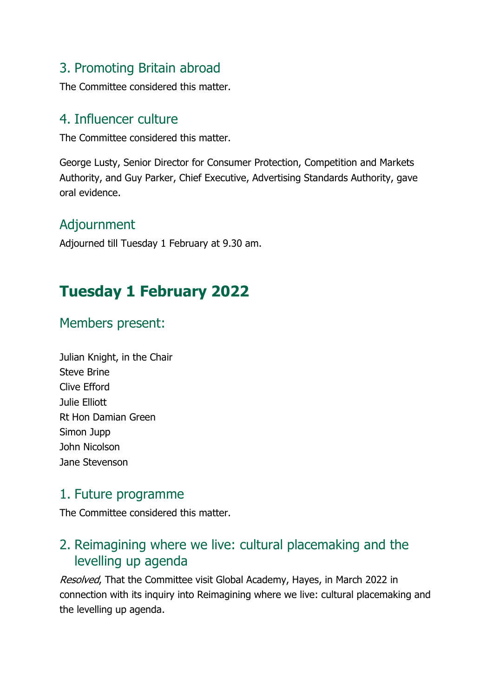## 3. Promoting Britain abroad

The Committee considered this matter.

### 4. Influencer culture

The Committee considered this matter.

George Lusty, Senior Director for Consumer Protection, Competition and Markets Authority, and Guy Parker, Chief Executive, Advertising Standards Authority, gave oral evidence.

# Adjournment

Adjourned till Tuesday 1 February at 9.30 am.

# **Tuesday 1 February 2022**

## Members present:

| Julian Knight, in the Chair |
|-----------------------------|
| <b>Steve Brine</b>          |
| Clive Efford                |
| Julie Elliott               |
| Rt Hon Damian Green         |
| Simon Jupp                  |
| John Nicolson               |
| Jane Stevenson              |

#### 1. Future programme

The Committee considered this matter.

# 2. Reimagining where we live: cultural placemaking and the levelling up agenda

Resolved, That the Committee visit Global Academy, Hayes, in March 2022 in connection with its inquiry into Reimagining where we live: cultural placemaking and the levelling up agenda.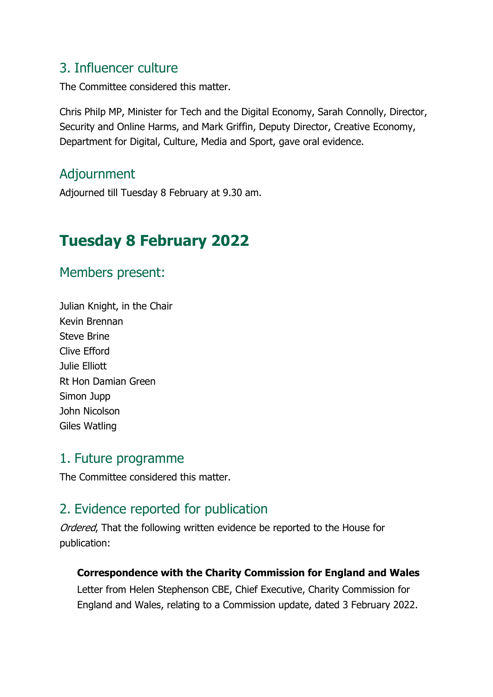### 3. Influencer culture

The Committee considered this matter.

Chris Philp MP, Minister for Tech and the Digital Economy, Sarah Connolly, Director, Security and Online Harms, and Mark Griffin, Deputy Director, Creative Economy, Department for Digital, Culture, Media and Sport, gave oral evidence.

## Adjournment

Adjourned till Tuesday 8 February at 9.30 am.

# **Tuesday 8 February 2022**

Members present:

Julian Knight, in the Chair Kevin Brennan Steve Brine Clive Efford Julie Elliott Rt Hon Damian Green Simon Jupp John Nicolson Giles Watling

#### 1. Future programme

The Committee considered this matter.

# 2. Evidence reported for publication

Ordered, That the following written evidence be reported to the House for publication:

#### **Correspondence with the Charity Commission for England and Wales**

Letter from Helen Stephenson CBE, Chief Executive, Charity Commission for England and Wales, relating to a Commission update, dated 3 February 2022.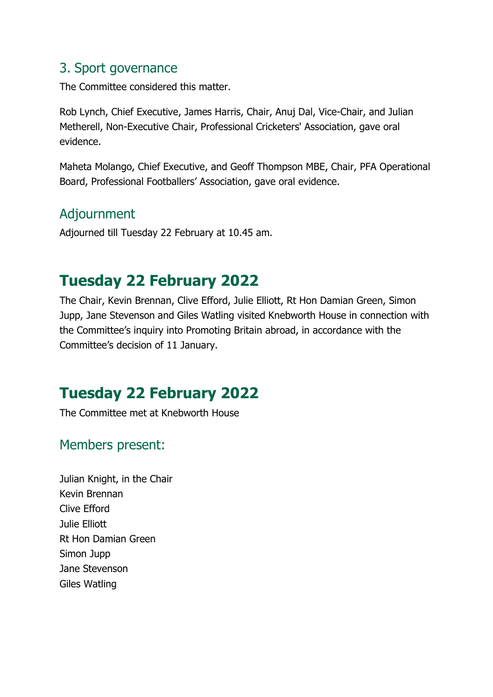### 3. Sport governance

The Committee considered this matter.

Rob Lynch, Chief Executive, James Harris, Chair, Anuj Dal, Vice-Chair, and Julian Metherell, Non-Executive Chair, Professional Cricketers' Association, gave oral evidence.

Maheta Molango, Chief Executive, and Geoff Thompson MBE, Chair, PFA Operational Board, Professional Footballers' Association, gave oral evidence.

## Adjournment

Adjourned till Tuesday 22 February at 10.45 am.

# **Tuesday 22 February 2022**

The Chair, Kevin Brennan, Clive Efford, Julie Elliott, Rt Hon Damian Green, Simon Jupp, Jane Stevenson and Giles Watling visited Knebworth House in connection with the Committee's inquiry into Promoting Britain abroad, in accordance with the Committee's decision of 11 January.

# **Tuesday 22 February 2022**

The Committee met at Knebworth House

## Members present:

Julian Knight, in the Chair Kevin Brennan Clive Efford Julie Elliott Rt Hon Damian Green Simon Jupp Jane Stevenson Giles Watling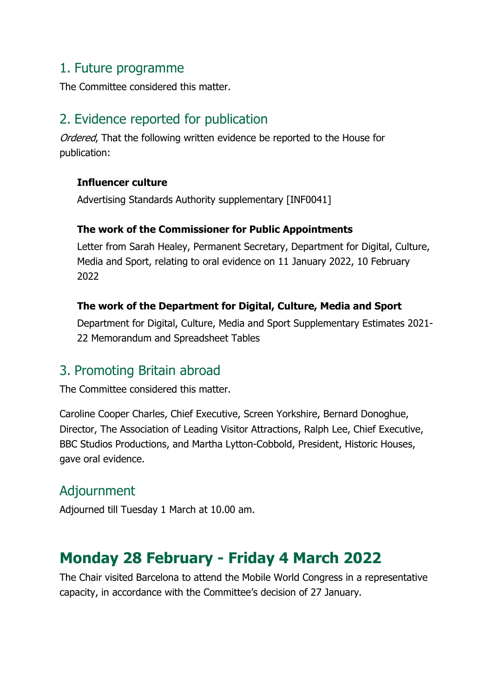### 1. Future programme

The Committee considered this matter.

# 2. Evidence reported for publication

Ordered, That the following written evidence be reported to the House for publication:

#### **Influencer culture**

Advertising Standards Authority supplementary [INF0041]

#### **The work of the Commissioner for Public Appointments**

Letter from Sarah Healey, Permanent Secretary, Department for Digital, Culture, Media and Sport, relating to oral evidence on 11 January 2022, 10 February 2022

#### **The work of the Department for Digital, Culture, Media and Sport**

Department for Digital, Culture, Media and Sport Supplementary Estimates 2021- 22 Memorandum and Spreadsheet Tables

#### 3. Promoting Britain abroad

The Committee considered this matter.

Caroline Cooper Charles, Chief Executive, Screen Yorkshire, Bernard Donoghue, Director, The Association of Leading Visitor Attractions, Ralph Lee, Chief Executive, BBC Studios Productions, and Martha Lytton-Cobbold, President, Historic Houses, gave oral evidence.

## Adjournment

Adjourned till Tuesday 1 March at 10.00 am.

# **Monday 28 February - Friday 4 March 2022**

The Chair visited Barcelona to attend the Mobile World Congress in a representative capacity, in accordance with the Committee's decision of 27 January.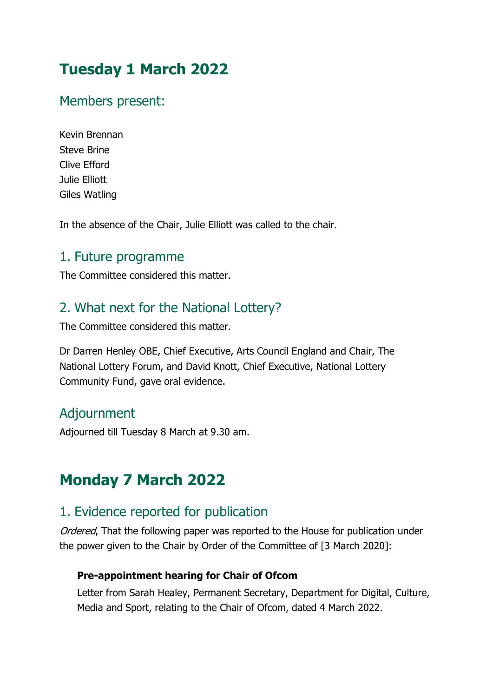# **Tuesday 1 March 2022**

### Members present:

Kevin Brennan Steve Brine Clive Efford Julie Elliott Giles Watling

In the absence of the Chair, Julie Elliott was called to the chair.

#### 1. Future programme

The Committee considered this matter.

### 2. What next for the National Lottery?

The Committee considered this matter.

Dr Darren Henley OBE, Chief Executive, Arts Council England and Chair, The National Lottery Forum, and David Knott, Chief Executive, National Lottery Community Fund, gave oral evidence.

#### Adjournment

Adjourned till Tuesday 8 March at 9.30 am.

# **Monday 7 March 2022**

## 1. Evidence reported for publication

Ordered, That the following paper was reported to the House for publication under the power given to the Chair by Order of the Committee of [3 March 2020]:

#### **Pre-appointment hearing for Chair of Ofcom**

Letter from Sarah Healey, Permanent Secretary, Department for Digital, Culture, Media and Sport, relating to the Chair of Ofcom, dated 4 March 2022.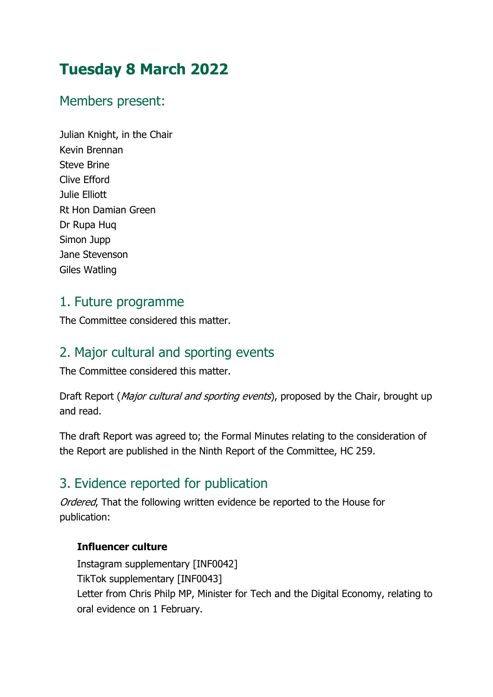# **Tuesday 8 March 2022**

### Members present:

Julian Knight, in the Chair Kevin Brennan Steve Brine Clive Efford Julie Elliott Rt Hon Damian Green Dr Rupa Huq Simon Jupp Jane Stevenson Giles Watling

#### 1. Future programme

The Committee considered this matter.

# 2. Major cultural and sporting events

The Committee considered this matter.

Draft Report (Major cultural and sporting events), proposed by the Chair, brought up and read.

The draft Report was agreed to; the Formal Minutes relating to the consideration of the Report are published in the Ninth Report of the Committee, HC 259.

# 3. Evidence reported for publication

Ordered, That the following written evidence be reported to the House for publication:

#### **Influencer culture**

Instagram supplementary [INF0042] TikTok supplementary [INF0043] Letter from Chris Philp MP, Minister for Tech and the Digital Economy, relating to oral evidence on 1 February.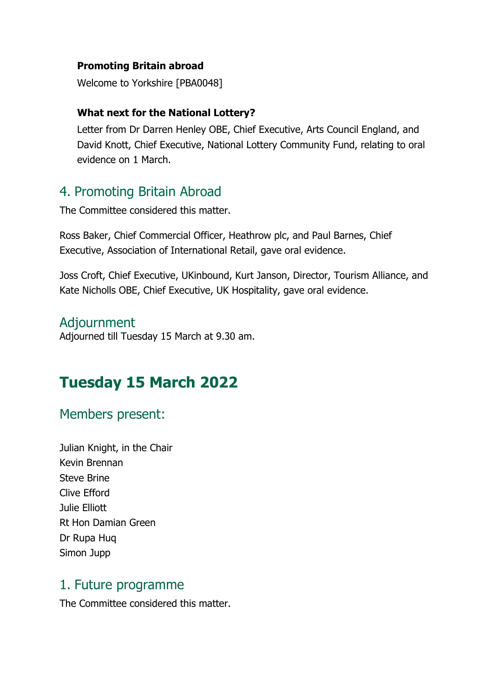#### **Promoting Britain abroad**

Welcome to Yorkshire [PBA0048]

#### **What next for the National Lottery?**

Letter from Dr Darren Henley OBE, Chief Executive, Arts Council England, and David Knott, Chief Executive, National Lottery Community Fund, relating to oral evidence on 1 March.

#### 4. Promoting Britain Abroad

The Committee considered this matter.

Ross Baker, Chief Commercial Officer, Heathrow plc, and Paul Barnes, Chief Executive, Association of International Retail, gave oral evidence.

Joss Croft, Chief Executive, UKinbound, Kurt Janson, Director, Tourism Alliance, and Kate Nicholls OBE, Chief Executive, UK Hospitality, gave oral evidence.

#### Adjournment

Adjourned till Tuesday 15 March at 9.30 am.

# **Tuesday 15 March 2022**

#### Members present:

Julian Knight, in the Chair Kevin Brennan Steve Brine Clive Efford Julie Elliott Rt Hon Damian Green Dr Rupa Huq Simon Jupp

#### 1. Future programme

The Committee considered this matter.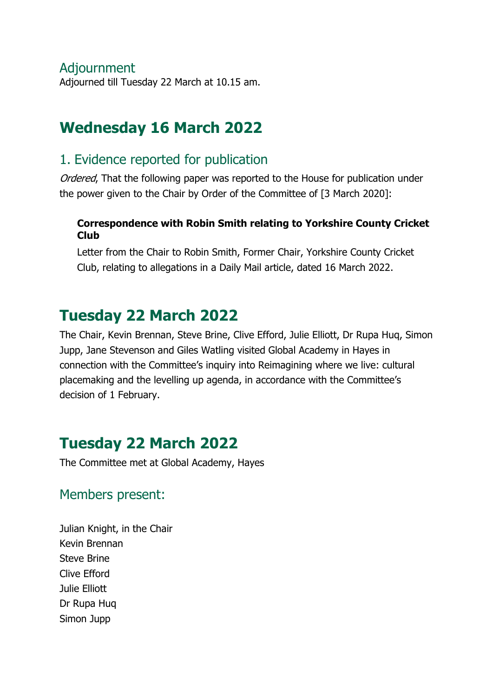#### Adjournment

Adjourned till Tuesday 22 March at 10.15 am.

# **Wednesday 16 March 2022**

## 1. Evidence reported for publication

Ordered, That the following paper was reported to the House for publication under the power given to the Chair by Order of the Committee of [3 March 2020]:

#### **Correspondence with Robin Smith relating to Yorkshire County Cricket Club**

Letter from the Chair to Robin Smith, Former Chair, Yorkshire County Cricket Club, relating to allegations in a Daily Mail article, dated 16 March 2022.

# **Tuesday 22 March 2022**

The Chair, Kevin Brennan, Steve Brine, Clive Efford, Julie Elliott, Dr Rupa Huq, Simon Jupp, Jane Stevenson and Giles Watling visited Global Academy in Hayes in connection with the Committee's inquiry into Reimagining where we live: cultural placemaking and the levelling up agenda, in accordance with the Committee's decision of 1 February.

# **Tuesday 22 March 2022**

The Committee met at Global Academy, Hayes

## Members present:

Julian Knight, in the Chair Kevin Brennan Steve Brine Clive Efford Julie Elliott Dr Rupa Huq Simon Jupp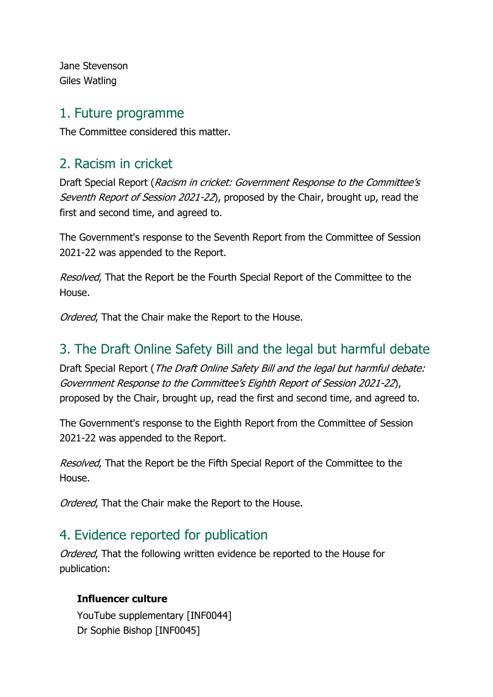Jane Stevenson Giles Watling

#### 1. Future programme

The Committee considered this matter.

# 2. Racism in cricket

Draft Special Report (Racism in cricket: Government Response to the Committee's Seventh Report of Session 2021-22), proposed by the Chair, brought up, read the first and second time, and agreed to.

The Government's response to the Seventh Report from the Committee of Session 2021-22 was appended to the Report.

Resolved. That the Report be the Fourth Special Report of the Committee to the House.

Ordered, That the Chair make the Report to the House.

# 3. The Draft Online Safety Bill and the legal but harmful debate

Draft Special Report (The Draft Online Safety Bill and the legal but harmful debate: Government Response to the Committee's Eighth Report of Session 2021-22), proposed by the Chair, brought up, read the first and second time, and agreed to.

The Government's response to the Eighth Report from the Committee of Session 2021-22 was appended to the Report.

Resolved, That the Report be the Fifth Special Report of the Committee to the House.

Ordered, That the Chair make the Report to the House.

# 4. Evidence reported for publication

Ordered, That the following written evidence be reported to the House for publication:

#### **Influencer culture**

YouTube supplementary [INF0044] Dr Sophie Bishop [INF0045]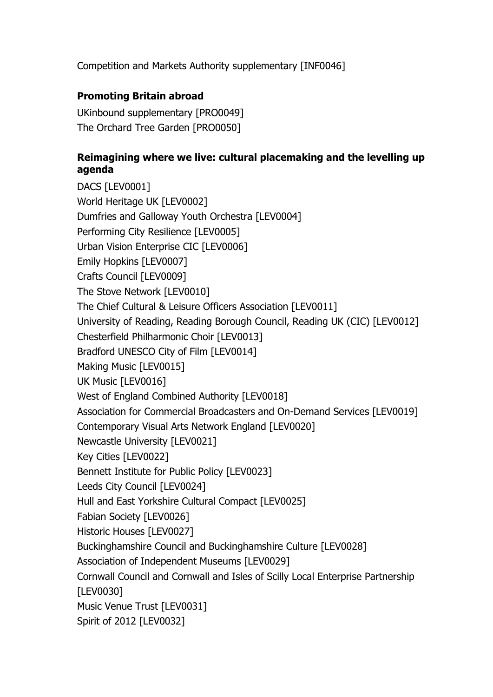Competition and Markets Authority supplementary [INF0046]

#### **Promoting Britain abroad**

UKinbound supplementary [PRO0049] The Orchard Tree Garden [PRO0050]

#### **Reimagining where we live: cultural placemaking and the levelling up agenda**

DACS [LEV0001] World Heritage UK [LEV0002] Dumfries and Galloway Youth Orchestra [LEV0004] Performing City Resilience [LEV0005] Urban Vision Enterprise CIC [LEV0006] Emily Hopkins [LEV0007] Crafts Council [LEV0009] The Stove Network [LEV0010] The Chief Cultural & Leisure Officers Association [LEV0011] University of Reading, Reading Borough Council, Reading UK (CIC) [LEV0012] Chesterfield Philharmonic Choir [LEV0013] Bradford UNESCO City of Film [LEV0014] Making Music [LEV0015] UK Music [LEV0016] West of England Combined Authority [LEV0018] Association for Commercial Broadcasters and On-Demand Services [LEV0019] Contemporary Visual Arts Network England [LEV0020] Newcastle University [LEV0021] Key Cities [LEV0022] Bennett Institute for Public Policy [LEV0023] Leeds City Council [LEV0024] Hull and East Yorkshire Cultural Compact [LEV0025] Fabian Society [LEV0026] Historic Houses [LEV0027] Buckinghamshire Council and Buckinghamshire Culture [LEV0028] Association of Independent Museums [LEV0029] Cornwall Council and Cornwall and Isles of Scilly Local Enterprise Partnership [LEV0030] Music Venue Trust [LEV0031] Spirit of 2012 [LEV0032]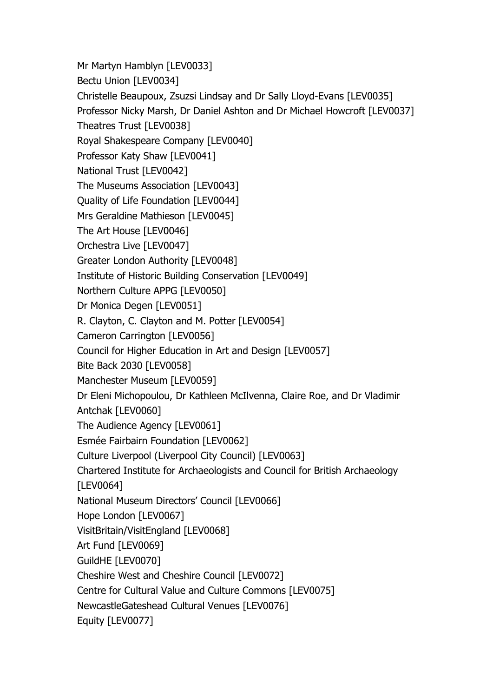Mr Martyn Hamblyn [LEV0033] Bectu Union [LEV0034] Christelle Beaupoux, Zsuzsi Lindsay and Dr Sally Lloyd-Evans [LEV0035] Professor Nicky Marsh, Dr Daniel Ashton and Dr Michael Howcroft [LEV0037] Theatres Trust [LEV0038] Royal Shakespeare Company [LEV0040] Professor Katy Shaw [LEV0041] National Trust [LEV0042] The Museums Association [LEV0043] Quality of Life Foundation [LEV0044] Mrs Geraldine Mathieson [LEV0045] The Art House [LEV0046] Orchestra Live [LEV0047] Greater London Authority [LEV0048] Institute of Historic Building Conservation [LEV0049] Northern Culture APPG [LEV0050] Dr Monica Degen [LEV0051] R. Clayton, C. Clayton and M. Potter [LEV0054] Cameron Carrington [LEV0056] Council for Higher Education in Art and Design [LEV0057] Bite Back 2030 [LEV0058] Manchester Museum [LEV0059] Dr Eleni Michopoulou, Dr Kathleen McIlvenna, Claire Roe, and Dr Vladimir Antchak [LEV0060] The Audience Agency [LEV0061] Esmée Fairbairn Foundation [LEV0062] Culture Liverpool (Liverpool City Council) [LEV0063] Chartered Institute for Archaeologists and Council for British Archaeology [LEV0064] National Museum Directors' Council [LEV0066] Hope London [LEV0067] VisitBritain/VisitEngland [LEV0068] Art Fund [LEV0069] GuildHE [LEV0070] Cheshire West and Cheshire Council [LEV0072] Centre for Cultural Value and Culture Commons [LEV0075] NewcastleGateshead Cultural Venues [LEV0076] Equity [LEV0077]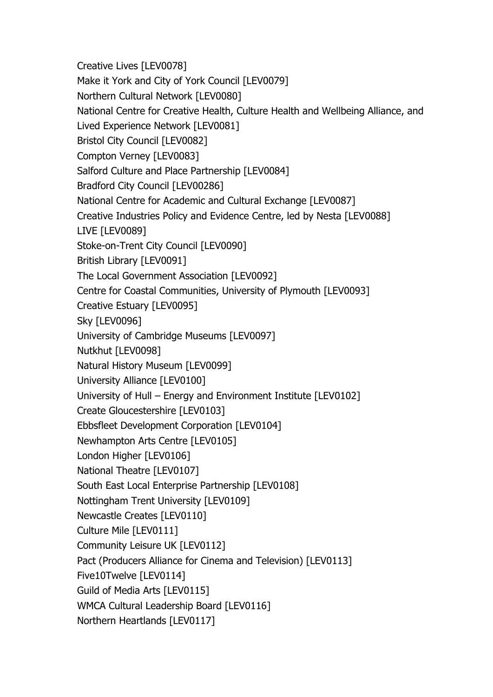Creative Lives [LEV0078] Make it York and City of York Council [LEV0079] Northern Cultural Network [LEV0080] National Centre for Creative Health, Culture Health and Wellbeing Alliance, and Lived Experience Network [LEV0081] Bristol City Council [LEV0082] Compton Verney [LEV0083] Salford Culture and Place Partnership [LEV0084] Bradford City Council [LEV00286] National Centre for Academic and Cultural Exchange [LEV0087] Creative Industries Policy and Evidence Centre, led by Nesta [LEV0088] LIVE [LEV0089] Stoke-on-Trent City Council [LEV0090] British Library [LEV0091] The Local Government Association [LEV0092] Centre for Coastal Communities, University of Plymouth [LEV0093] Creative Estuary [LEV0095] Sky [LEV0096] University of Cambridge Museums [LEV0097] Nutkhut [LEV0098] Natural History Museum [LEV0099] University Alliance [LEV0100] University of Hull – Energy and Environment Institute [LEV0102] Create Gloucestershire [LEV0103] Ebbsfleet Development Corporation [LEV0104] Newhampton Arts Centre [LEV0105] London Higher [LEV0106] National Theatre [LEV0107] South East Local Enterprise Partnership [LEV0108] Nottingham Trent University [LEV0109] Newcastle Creates [LEV0110] Culture Mile [LEV0111] Community Leisure UK [LEV0112] Pact (Producers Alliance for Cinema and Television) [LEV0113] Five10Twelve [LEV0114] Guild of Media Arts [LEV0115] WMCA Cultural Leadership Board [LEV0116] Northern Heartlands [LEV0117]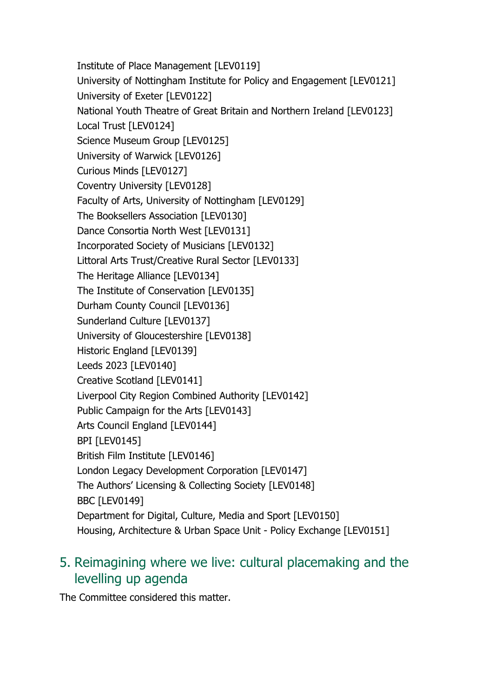Institute of Place Management [LEV0119] University of Nottingham Institute for Policy and Engagement [LEV0121] University of Exeter [LEV0122] National Youth Theatre of Great Britain and Northern Ireland [LEV0123] Local Trust [LEV0124] Science Museum Group [LEV0125] University of Warwick [LEV0126] Curious Minds [LEV0127] Coventry University [LEV0128] Faculty of Arts, University of Nottingham [LEV0129] The Booksellers Association [LEV0130] Dance Consortia North West [LEV0131] Incorporated Society of Musicians [LEV0132] Littoral Arts Trust/Creative Rural Sector [LEV0133] The Heritage Alliance [LEV0134] The Institute of Conservation [LEV0135] Durham County Council [LEV0136] Sunderland Culture [LEV0137] University of Gloucestershire [LEV0138] Historic England [LEV0139] Leeds 2023 [LEV0140] Creative Scotland [LEV0141] Liverpool City Region Combined Authority [LEV0142] Public Campaign for the Arts [LEV0143] Arts Council England [LEV0144] BPI [LEV0145] British Film Institute [LEV0146] London Legacy Development Corporation [LEV0147] The Authors' Licensing & Collecting Society [LEV0148] BBC [LEV0149] Department for Digital, Culture, Media and Sport [LEV0150] Housing, Architecture & Urban Space Unit - Policy Exchange [LEV0151]

# 5. Reimagining where we live: cultural placemaking and the levelling up agenda

The Committee considered this matter.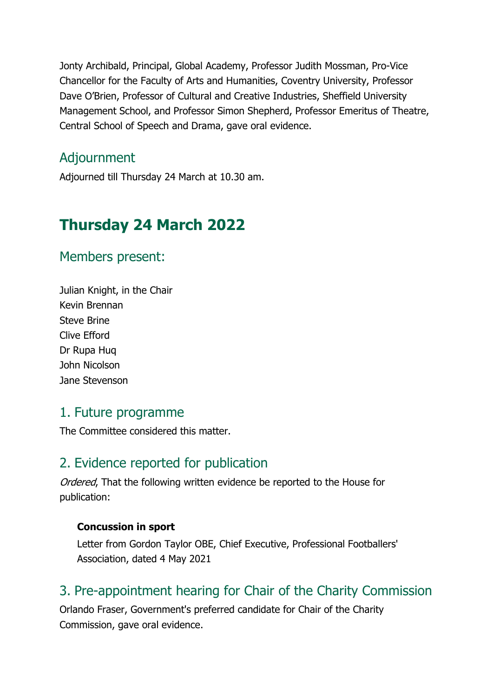Jonty Archibald, Principal, Global Academy, Professor Judith Mossman, Pro-Vice Chancellor for the Faculty of Arts and Humanities, Coventry University, Professor Dave O'Brien, Professor of Cultural and Creative Industries, Sheffield University Management School, and Professor Simon Shepherd, Professor Emeritus of Theatre, Central School of Speech and Drama, gave oral evidence.

### Adjournment

Adjourned till Thursday 24 March at 10.30 am.

# **Thursday 24 March 2022**

#### Members present:

Julian Knight, in the Chair Kevin Brennan Steve Brine Clive Efford Dr Rupa Huq John Nicolson Jane Stevenson

#### 1. Future programme

The Committee considered this matter.

#### 2. Evidence reported for publication

Ordered, That the following written evidence be reported to the House for publication:

#### **Concussion in sport**

Letter from Gordon Taylor OBE, Chief Executive, Professional Footballers' Association, dated 4 May 2021

## 3. Pre-appointment hearing for Chair of the Charity Commission

Orlando Fraser, Government's preferred candidate for Chair of the Charity Commission, gave oral evidence.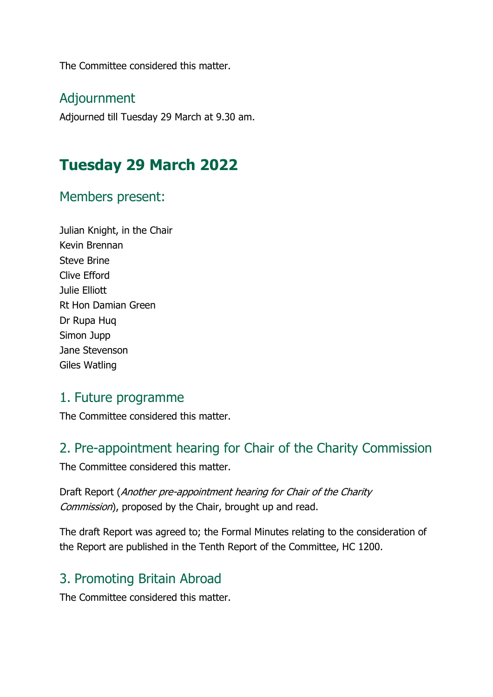The Committee considered this matter.

#### Adjournment

Adjourned till Tuesday 29 March at 9.30 am.

# **Tuesday 29 March 2022**

#### Members present:

Julian Knight, in the Chair Kevin Brennan Steve Brine Clive Efford Julie Elliott Rt Hon Damian Green Dr Rupa Huq Simon Jupp Jane Stevenson Giles Watling

#### 1. Future programme

The Committee considered this matter.

# 2. Pre-appointment hearing for Chair of the Charity Commission

The Committee considered this matter.

Draft Report (Another pre-appointment hearing for Chair of the Charity Commission), proposed by the Chair, brought up and read.

The draft Report was agreed to; the Formal Minutes relating to the consideration of the Report are published in the Tenth Report of the Committee, HC 1200.

## 3. Promoting Britain Abroad

The Committee considered this matter.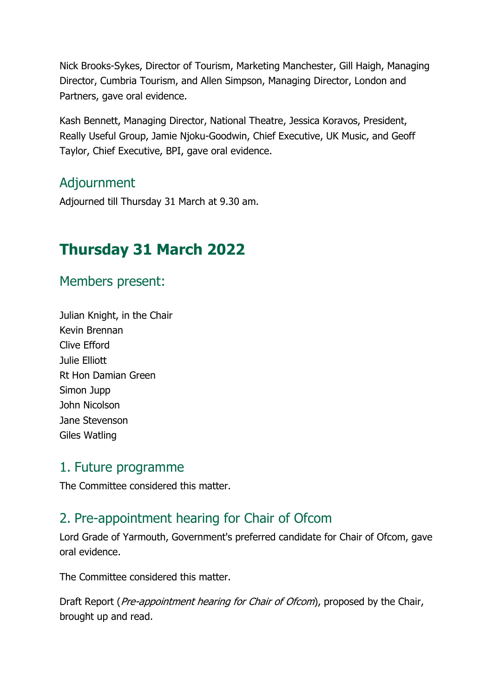Nick Brooks-Sykes, Director of Tourism, Marketing Manchester, Gill Haigh, Managing Director, Cumbria Tourism, and Allen Simpson, Managing Director, London and Partners, gave oral evidence.

Kash Bennett, Managing Director, National Theatre, Jessica Koravos, President, Really Useful Group, Jamie Njoku-Goodwin, Chief Executive, UK Music, and Geoff Taylor, Chief Executive, BPI, gave oral evidence.

# Adjournment

Adjourned till Thursday 31 March at 9.30 am.

# **Thursday 31 March 2022**

#### Members present:

Julian Knight, in the Chair Kevin Brennan Clive Efford Julie Elliott Rt Hon Damian Green Simon Jupp John Nicolson Jane Stevenson Giles Watling

#### 1. Future programme

The Committee considered this matter.

# 2. Pre-appointment hearing for Chair of Ofcom

Lord Grade of Yarmouth, Government's preferred candidate for Chair of Ofcom, gave oral evidence.

The Committee considered this matter.

Draft Report (Pre-appointment hearing for Chair of Ofcom), proposed by the Chair, brought up and read.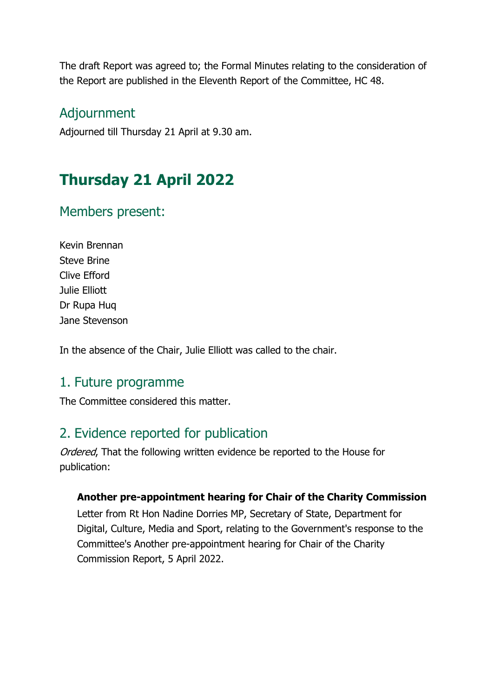The draft Report was agreed to; the Formal Minutes relating to the consideration of the Report are published in the Eleventh Report of the Committee, HC 48.

#### Adjournment

Adjourned till Thursday 21 April at 9.30 am.

# **Thursday 21 April 2022**

## Members present:

Kevin Brennan Steve Brine Clive Efford Julie Elliott Dr Rupa Huq Jane Stevenson

In the absence of the Chair, Julie Elliott was called to the chair.

#### 1. Future programme

The Committee considered this matter.

## 2. Evidence reported for publication

Ordered, That the following written evidence be reported to the House for publication:

#### **Another pre-appointment hearing for Chair of the Charity Commission**

Letter from Rt Hon Nadine Dorries MP, Secretary of State, Department for Digital, Culture, Media and Sport, relating to the Government's response to the Committee's Another pre-appointment hearing for Chair of the Charity Commission Report, 5 April 2022.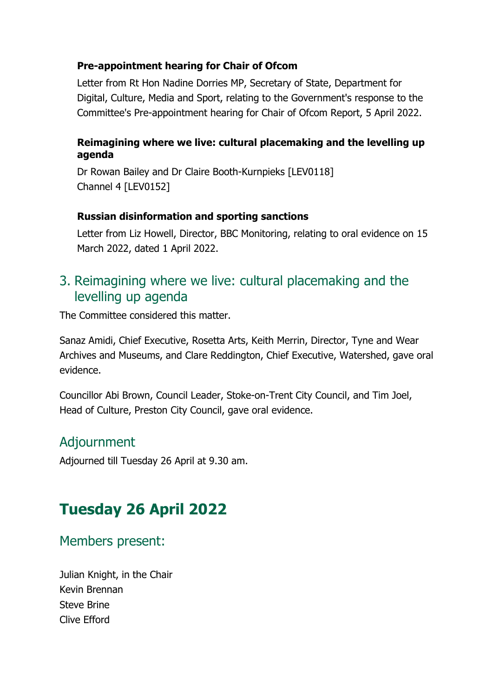#### **Pre-appointment hearing for Chair of Ofcom**

Letter from Rt Hon Nadine Dorries MP, Secretary of State, Department for Digital, Culture, Media and Sport, relating to the Government's response to the Committee's Pre-appointment hearing for Chair of Ofcom Report, 5 April 2022.

#### **Reimagining where we live: cultural placemaking and the levelling up agenda**

Dr Rowan Bailey and Dr Claire Booth-Kurnpieks [LEV0118] Channel 4 [LEV0152]

#### **Russian disinformation and sporting sanctions**

Letter from Liz Howell, Director, BBC Monitoring, relating to oral evidence on 15 March 2022, dated 1 April 2022.

#### 3. Reimagining where we live: cultural placemaking and the levelling up agenda

The Committee considered this matter.

Sanaz Amidi, Chief Executive, Rosetta Arts, Keith Merrin, Director, Tyne and Wear Archives and Museums, and Clare Reddington, Chief Executive, Watershed, gave oral evidence.

Councillor Abi Brown, Council Leader, Stoke-on-Trent City Council, and Tim Joel, Head of Culture, Preston City Council, gave oral evidence.

#### Adjournment

Adjourned till Tuesday 26 April at 9.30 am.

# **Tuesday 26 April 2022**

#### Members present:

Julian Knight, in the Chair Kevin Brennan Steve Brine Clive Efford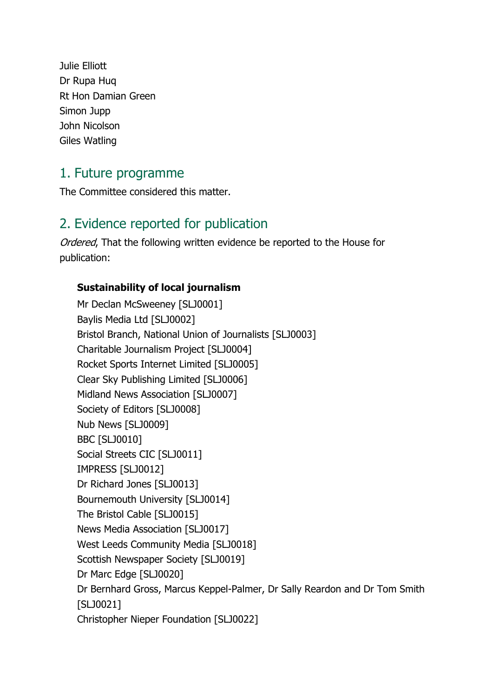Julie Elliott Dr Rupa Huq Rt Hon Damian Green Simon Jupp John Nicolson Giles Watling

### 1. Future programme

The Committee considered this matter.

## 2. Evidence reported for publication

Ordered, That the following written evidence be reported to the House for publication:

#### **Sustainability of local journalism**

Mr Declan McSweeney [SLJ0001] Baylis Media Ltd [SLJ0002] Bristol Branch, National Union of Journalists [SLJ0003] Charitable Journalism Project [SLJ0004] Rocket Sports Internet Limited [SLJ0005] Clear Sky Publishing Limited [SLJ0006] Midland News Association [SLJ0007] Society of Editors [SLJ0008] Nub News [SLJ0009] BBC [SLJ0010] Social Streets CIC [SLJ0011] IMPRESS [SLJ0012] Dr Richard Jones [SLJ0013] Bournemouth University [SLJ0014] The Bristol Cable [SLJ0015] News Media Association [SLJ0017] West Leeds Community Media [SLJ0018] Scottish Newspaper Society [SLJ0019] Dr Marc Edge [SLJ0020] Dr Bernhard Gross, Marcus Keppel-Palmer, Dr Sally Reardon and Dr Tom Smith [SLJ0021] Christopher Nieper Foundation [SLJ0022]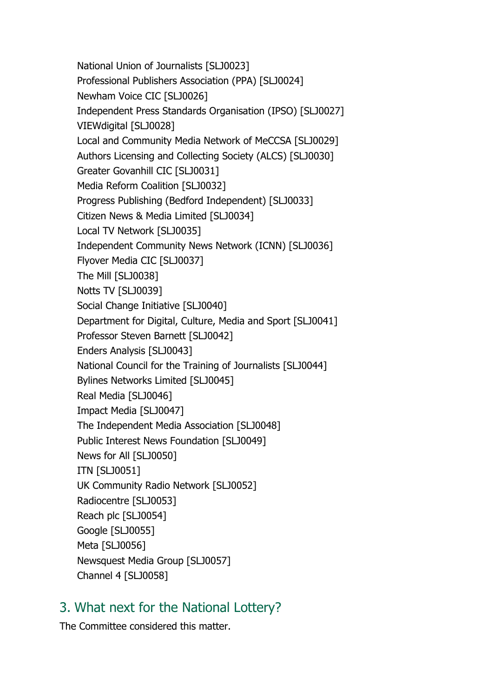National Union of Journalists [SLJ0023] Professional Publishers Association (PPA) [SLJ0024] Newham Voice CIC [SLJ0026] Independent Press Standards Organisation (IPSO) [SLJ0027] VIEWdigital [SLJ0028] Local and Community Media Network of MeCCSA [SLJ0029] Authors Licensing and Collecting Society (ALCS) [SLJ0030] Greater Govanhill CIC [SLJ0031] Media Reform Coalition [SLJ0032] Progress Publishing (Bedford Independent) [SLJ0033] Citizen News & Media Limited [SLJ0034] Local TV Network [SLJ0035] Independent Community News Network (ICNN) [SLJ0036] Flyover Media CIC [SLJ0037] The Mill [SLJ0038] Notts TV [SLJ0039] Social Change Initiative [SLJ0040] Department for Digital, Culture, Media and Sport [SLJ0041] Professor Steven Barnett [SLJ0042] Enders Analysis [SLJ0043] National Council for the Training of Journalists [SLJ0044] Bylines Networks Limited [SLJ0045] Real Media [SLJ0046] Impact Media [SLJ0047] The Independent Media Association [SLJ0048] Public Interest News Foundation [SLJ0049] News for All [SLJ0050] ITN [SLJ0051] UK Community Radio Network [SLJ0052] Radiocentre [SLJ0053] Reach plc [SLJ0054] Google [SLJ0055] Meta [SLJ0056] Newsquest Media Group [SLJ0057] Channel 4 [SLJ0058]

## 3. What next for the National Lottery?

The Committee considered this matter.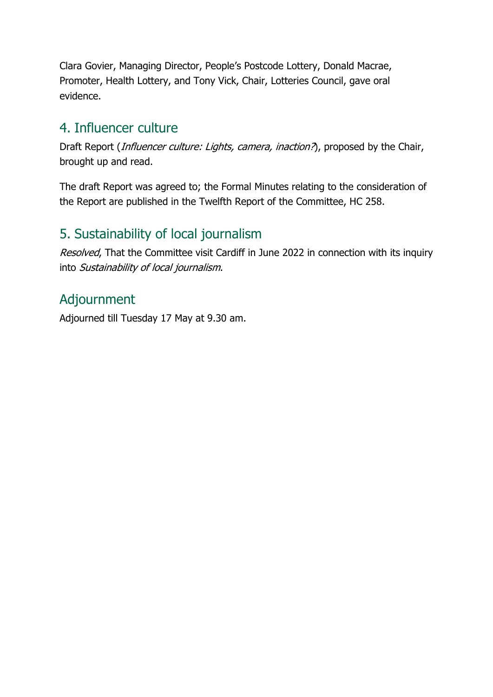Clara Govier, Managing Director, People's Postcode Lottery, Donald Macrae, Promoter, Health Lottery, and Tony Vick, Chair, Lotteries Council, gave oral evidence.

## 4. Influencer culture

Draft Report (*Influencer culture: Lights, camera, inaction?*), proposed by the Chair, brought up and read.

The draft Report was agreed to; the Formal Minutes relating to the consideration of the Report are published in the Twelfth Report of the Committee, HC 258.

# 5. Sustainability of local journalism

Resolved, That the Committee visit Cardiff in June 2022 in connection with its inquiry into Sustainability of local journalism.

# Adjournment

Adjourned till Tuesday 17 May at 9.30 am.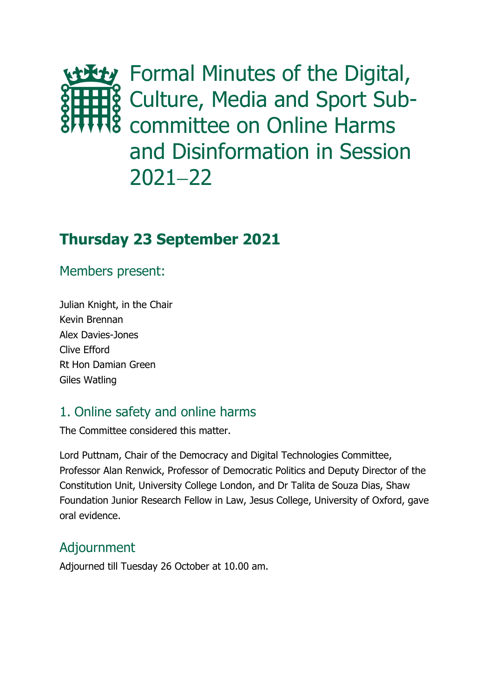the Digital, **&** Culture, Media and Sport Sub- $\frac{3}{2}$  committee on Online Harms and Disinformation in Session 2021−22

# **Thursday 23 September 2021**

### Members present:

Julian Knight, in the Chair Kevin Brennan Alex Davies-Jones Clive Efford Rt Hon Damian Green Giles Watling

# 1. Online safety and online harms

The Committee considered this matter.

Lord Puttnam, Chair of the Democracy and Digital Technologies Committee, Professor Alan Renwick, Professor of Democratic Politics and Deputy Director of the Constitution Unit, University College London, and Dr Talita de Souza Dias, Shaw Foundation Junior Research Fellow in Law, Jesus College, University of Oxford, gave oral evidence.

## Adjournment

Adjourned till Tuesday 26 October at 10.00 am.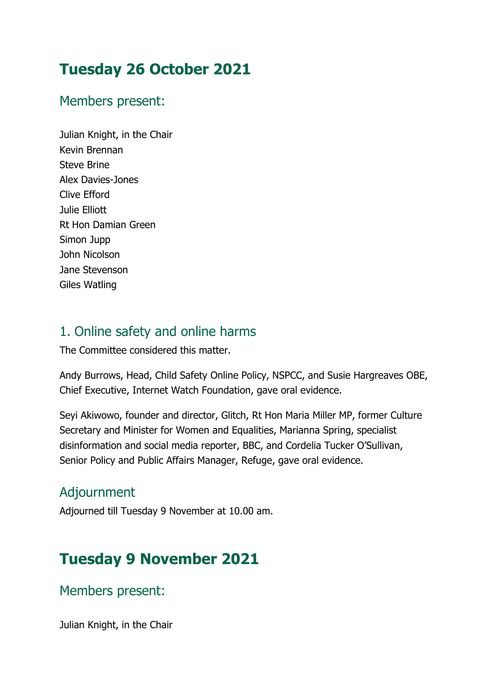# **Tuesday 26 October 2021**

### Members present:

Julian Knight, in the Chair Kevin Brennan Steve Brine Alex Davies-Jones Clive Efford Julie Elliott Rt Hon Damian Green Simon Jupp John Nicolson Jane Stevenson Giles Watling

# 1. Online safety and online harms

The Committee considered this matter.

Andy Burrows, Head, Child Safety Online Policy, NSPCC, and Susie Hargreaves OBE, Chief Executive, Internet Watch Foundation, gave oral evidence.

Seyi Akiwowo, founder and director, Glitch, Rt Hon Maria Miller MP, former Culture Secretary and Minister for Women and Equalities, Marianna Spring, specialist disinformation and social media reporter, BBC, and Cordelia Tucker O'Sullivan, Senior Policy and Public Affairs Manager, Refuge, gave oral evidence.

# Adjournment

Adjourned till Tuesday 9 November at 10.00 am.

# **Tuesday 9 November 2021**

Members present:

Julian Knight, in the Chair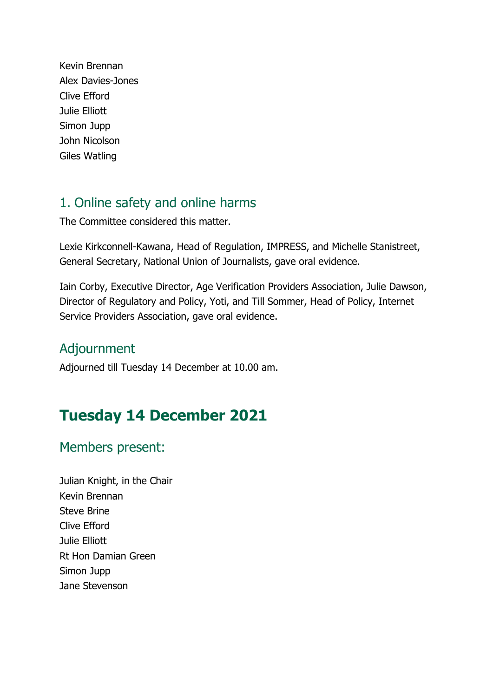Kevin Brennan Alex Davies-Jones Clive Efford Julie Elliott Simon Jupp John Nicolson Giles Watling

# 1. Online safety and online harms

The Committee considered this matter.

Lexie Kirkconnell-Kawana, Head of Regulation, IMPRESS, and Michelle Stanistreet, General Secretary, National Union of Journalists, gave oral evidence.

Iain Corby, Executive Director, Age Verification Providers Association, Julie Dawson, Director of Regulatory and Policy, Yoti, and Till Sommer, Head of Policy, Internet Service Providers Association, gave oral evidence.

### Adjournment

Adjourned till Tuesday 14 December at 10.00 am.

# **Tuesday 14 December 2021**

## Members present:

Julian Knight, in the Chair Kevin Brennan Steve Brine Clive Efford Julie Elliott Rt Hon Damian Green Simon Jupp Jane Stevenson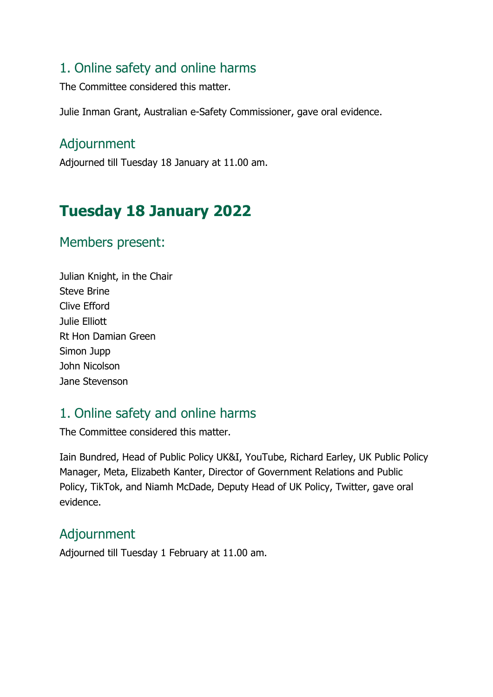### 1. Online safety and online harms

The Committee considered this matter.

Julie Inman Grant, Australian e-Safety Commissioner, gave oral evidence.

### Adjournment

Adjourned till Tuesday 18 January at 11.00 am.

# **Tuesday 18 January 2022**

#### Members present:

Julian Knight, in the Chair Steve Brine Clive Efford Julie Elliott Rt Hon Damian Green Simon Jupp John Nicolson Jane Stevenson

# 1. Online safety and online harms

The Committee considered this matter.

Iain Bundred, Head of Public Policy UK&I, YouTube, Richard Earley, UK Public Policy Manager, Meta, Elizabeth Kanter, Director of Government Relations and Public Policy, TikTok, and Niamh McDade, Deputy Head of UK Policy, Twitter, gave oral evidence.

## Adjournment

Adjourned till Tuesday 1 February at 11.00 am.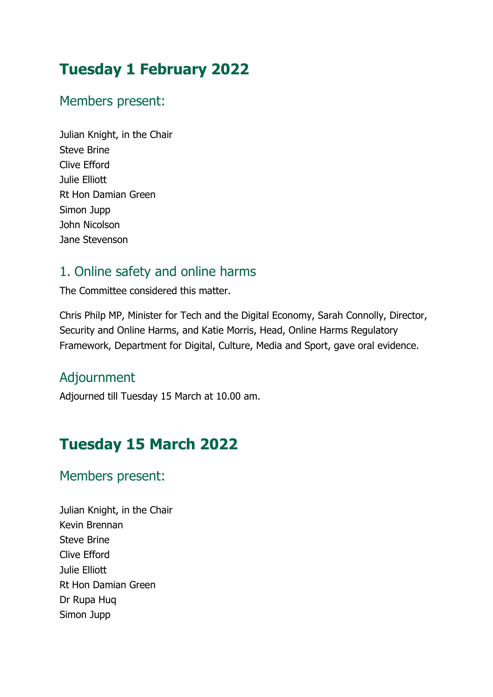# **Tuesday 1 February 2022**

# Members present:

Julian Knight, in the Chair Steve Brine Clive Efford Julie Elliott Rt Hon Damian Green Simon Jupp John Nicolson Jane Stevenson

# 1. Online safety and online harms

The Committee considered this matter.

Chris Philp MP, Minister for Tech and the Digital Economy, Sarah Connolly, Director, Security and Online Harms, and Katie Morris, Head, Online Harms Regulatory Framework, Department for Digital, Culture, Media and Sport, gave oral evidence.

# Adjournment

Adjourned till Tuesday 15 March at 10.00 am.

# **Tuesday 15 March 2022**

# Members present:

Julian Knight, in the Chair Kevin Brennan Steve Brine Clive Efford Julie Elliott Rt Hon Damian Green Dr Rupa Huq Simon Jupp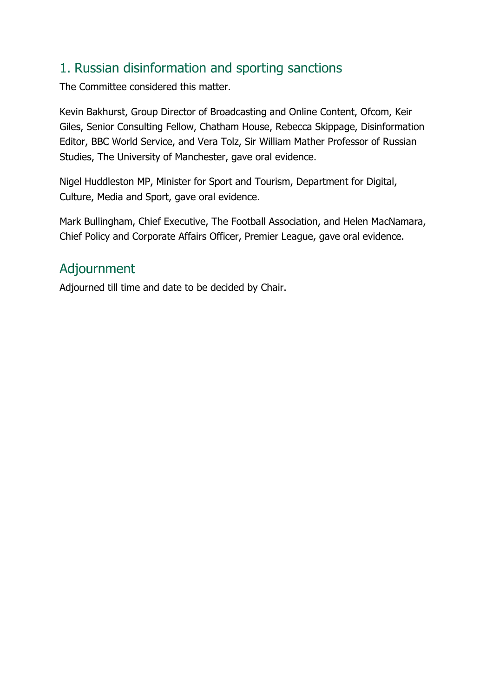# 1. Russian disinformation and sporting sanctions

The Committee considered this matter.

Kevin Bakhurst, Group Director of Broadcasting and Online Content, Ofcom, Keir Giles, Senior Consulting Fellow, Chatham House, Rebecca Skippage, Disinformation Editor, BBC World Service, and Vera Tolz, Sir William Mather Professor of Russian Studies, The University of Manchester, gave oral evidence.

Nigel Huddleston MP, Minister for Sport and Tourism, Department for Digital, Culture, Media and Sport, gave oral evidence.

Mark Bullingham, Chief Executive, The Football Association, and Helen MacNamara, Chief Policy and Corporate Affairs Officer, Premier League, gave oral evidence.

# Adjournment

Adjourned till time and date to be decided by Chair.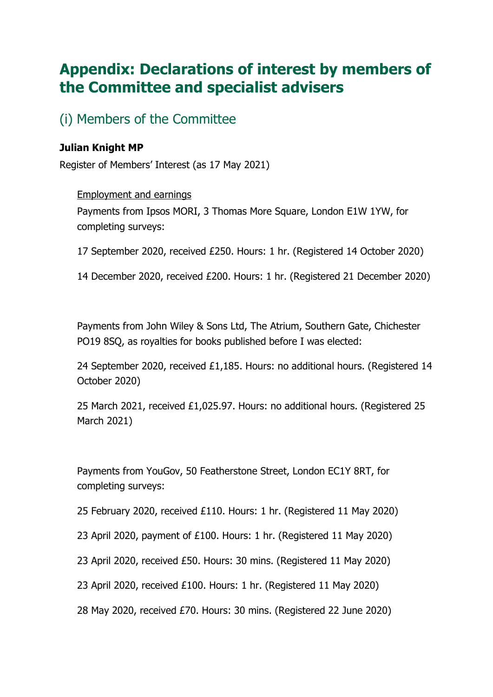# **Appendix: Declarations of interest by members of the Committee and specialist advisers**

(i) Members of the Committee

# **Julian Knight MP**

Register of Members' Interest (as 17 May 2021)

#### Employment and earnings

Payments from Ipsos MORI, 3 Thomas More Square, London E1W 1YW, for completing surveys:

17 September 2020, received £250. Hours: 1 hr. (Registered 14 October 2020)

14 December 2020, received £200. Hours: 1 hr. (Registered 21 December 2020)

Payments from John Wiley & Sons Ltd, The Atrium, Southern Gate, Chichester PO19 8SQ, as royalties for books published before I was elected:

24 September 2020, received £1,185. Hours: no additional hours. (Registered 14 October 2020)

25 March 2021, received £1,025.97. Hours: no additional hours. (Registered 25 March 2021)

Payments from YouGov, 50 Featherstone Street, London EC1Y 8RT, for completing surveys:

25 February 2020, received £110. Hours: 1 hr. (Registered 11 May 2020)

23 April 2020, payment of £100. Hours: 1 hr. (Registered 11 May 2020)

23 April 2020, received £50. Hours: 30 mins. (Registered 11 May 2020)

23 April 2020, received £100. Hours: 1 hr. (Registered 11 May 2020)

28 May 2020, received £70. Hours: 30 mins. (Registered 22 June 2020)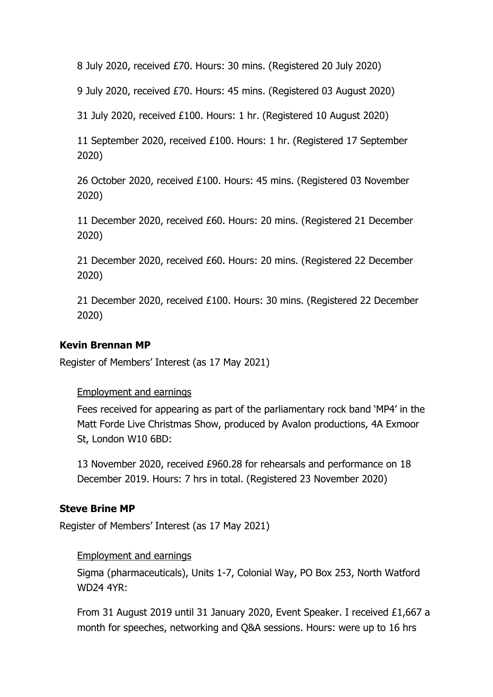8 July 2020, received £70. Hours: 30 mins. (Registered 20 July 2020)

9 July 2020, received £70. Hours: 45 mins. (Registered 03 August 2020)

31 July 2020, received £100. Hours: 1 hr. (Registered 10 August 2020)

11 September 2020, received £100. Hours: 1 hr. (Registered 17 September 2020)

26 October 2020, received £100. Hours: 45 mins. (Registered 03 November 2020)

11 December 2020, received £60. Hours: 20 mins. (Registered 21 December 2020)

21 December 2020, received £60. Hours: 20 mins. (Registered 22 December 2020)

21 December 2020, received £100. Hours: 30 mins. (Registered 22 December 2020)

## **Kevin Brennan MP**

Register of Members' Interest (as 17 May 2021)

### Employment and earnings

Fees received for appearing as part of the parliamentary rock band 'MP4' in the Matt Forde Live Christmas Show, produced by Avalon productions, 4A Exmoor St, London W10 6BD:

13 November 2020, received £960.28 for rehearsals and performance on 18 December 2019. Hours: 7 hrs in total. (Registered 23 November 2020)

### **Steve Brine MP**

Register of Members' Interest (as 17 May 2021)

#### Employment and earnings

Sigma (pharmaceuticals), Units 1-7, Colonial Way, PO Box 253, North Watford WD24 4YR:

From 31 August 2019 until 31 January 2020, Event Speaker. I received £1,667 a month for speeches, networking and Q&A sessions. Hours: were up to 16 hrs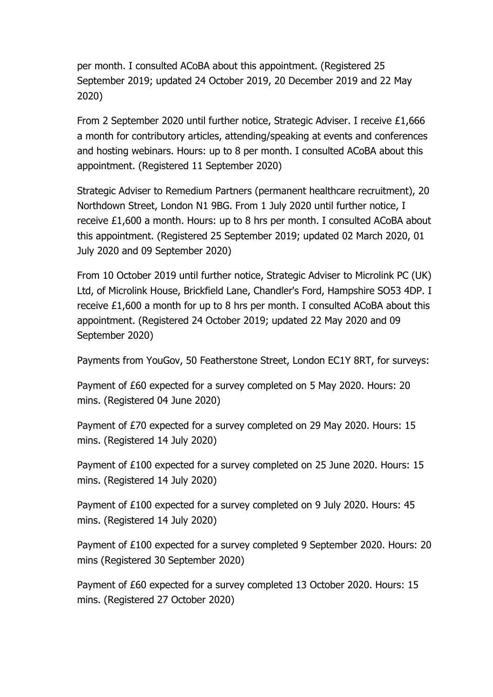per month. I consulted ACoBA about this appointment. (Registered 25 September 2019; updated 24 October 2019, 20 December 2019 and 22 May 2020)

From 2 September 2020 until further notice, Strategic Adviser. I receive £1,666 a month for contributory articles, attending/speaking at events and conferences and hosting webinars. Hours: up to 8 per month. I consulted ACoBA about this appointment. (Registered 11 September 2020)

Strategic Adviser to Remedium Partners (permanent healthcare recruitment), 20 Northdown Street, London N1 9BG. From 1 July 2020 until further notice, I receive £1,600 a month. Hours: up to 8 hrs per month. I consulted ACoBA about this appointment. (Registered 25 September 2019; updated 02 March 2020, 01 July 2020 and 09 September 2020)

From 10 October 2019 until further notice, Strategic Adviser to Microlink PC (UK) Ltd, of Microlink House, Brickfield Lane, Chandler's Ford, Hampshire SO53 4DP. I receive £1,600 a month for up to 8 hrs per month. I consulted ACoBA about this appointment. (Registered 24 October 2019; updated 22 May 2020 and 09 September 2020)

Payments from YouGov, 50 Featherstone Street, London EC1Y 8RT, for surveys:

Payment of £60 expected for a survey completed on 5 May 2020. Hours: 20 mins. (Registered 04 June 2020)

Payment of £70 expected for a survey completed on 29 May 2020. Hours: 15 mins. (Registered 14 July 2020)

Payment of £100 expected for a survey completed on 25 June 2020. Hours: 15 mins. (Registered 14 July 2020)

Payment of £100 expected for a survey completed on 9 July 2020. Hours: 45 mins. (Registered 14 July 2020)

Payment of £100 expected for a survey completed 9 September 2020. Hours: 20 mins (Registered 30 September 2020)

Payment of £60 expected for a survey completed 13 October 2020. Hours: 15 mins. (Registered 27 October 2020)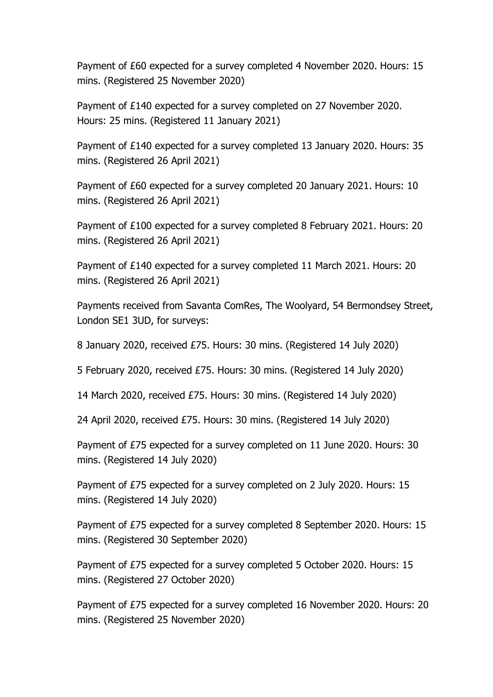Payment of £60 expected for a survey completed 4 November 2020. Hours: 15 mins. (Registered 25 November 2020)

Payment of £140 expected for a survey completed on 27 November 2020. Hours: 25 mins. (Registered 11 January 2021)

Payment of £140 expected for a survey completed 13 January 2020. Hours: 35 mins. (Registered 26 April 2021)

Payment of £60 expected for a survey completed 20 January 2021. Hours: 10 mins. (Registered 26 April 2021)

Payment of £100 expected for a survey completed 8 February 2021. Hours: 20 mins. (Registered 26 April 2021)

Payment of £140 expected for a survey completed 11 March 2021. Hours: 20 mins. (Registered 26 April 2021)

Payments received from Savanta ComRes, The Woolyard, 54 Bermondsey Street, London SE1 3UD, for surveys:

8 January 2020, received £75. Hours: 30 mins. (Registered 14 July 2020)

5 February 2020, received £75. Hours: 30 mins. (Registered 14 July 2020)

14 March 2020, received £75. Hours: 30 mins. (Registered 14 July 2020)

24 April 2020, received £75. Hours: 30 mins. (Registered 14 July 2020)

Payment of £75 expected for a survey completed on 11 June 2020. Hours: 30 mins. (Registered 14 July 2020)

Payment of £75 expected for a survey completed on 2 July 2020. Hours: 15 mins. (Registered 14 July 2020)

Payment of £75 expected for a survey completed 8 September 2020. Hours: 15 mins. (Registered 30 September 2020)

Payment of £75 expected for a survey completed 5 October 2020. Hours: 15 mins. (Registered 27 October 2020)

Payment of £75 expected for a survey completed 16 November 2020. Hours: 20 mins. (Registered 25 November 2020)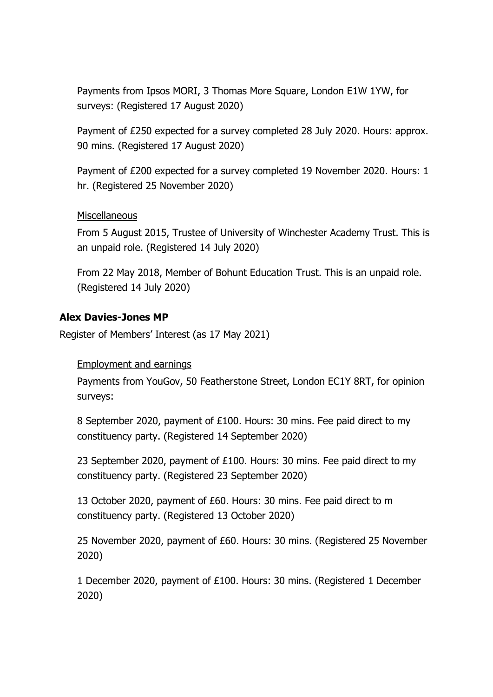Payments from Ipsos MORI, 3 Thomas More Square, London E1W 1YW, for surveys: (Registered 17 August 2020)

Payment of £250 expected for a survey completed 28 July 2020. Hours: approx. 90 mins. (Registered 17 August 2020)

Payment of £200 expected for a survey completed 19 November 2020. Hours: 1 hr. (Registered 25 November 2020)

### **Miscellaneous**

From 5 August 2015, Trustee of University of Winchester Academy Trust. This is an unpaid role. (Registered 14 July 2020)

From 22 May 2018, Member of Bohunt Education Trust. This is an unpaid role. (Registered 14 July 2020)

#### **Alex Davies-Jones MP**

Register of Members' Interest (as 17 May 2021)

#### Employment and earnings

Payments from YouGov, 50 Featherstone Street, London EC1Y 8RT, for opinion surveys:

8 September 2020, payment of £100. Hours: 30 mins. Fee paid direct to my constituency party. (Registered 14 September 2020)

23 September 2020, payment of £100. Hours: 30 mins. Fee paid direct to my constituency party. (Registered 23 September 2020)

13 October 2020, payment of £60. Hours: 30 mins. Fee paid direct to m constituency party. (Registered 13 October 2020)

25 November 2020, payment of £60. Hours: 30 mins. (Registered 25 November 2020)

1 December 2020, payment of £100. Hours: 30 mins. (Registered 1 December 2020)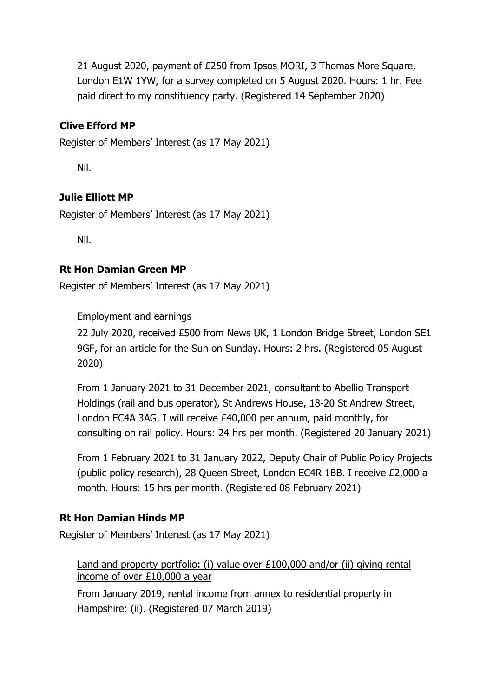21 August 2020, payment of £250 from Ipsos MORI, 3 Thomas More Square, London E1W 1YW, for a survey completed on 5 August 2020. Hours: 1 hr. Fee paid direct to my constituency party. (Registered 14 September 2020)

# **Clive Efford MP**

Register of Members' Interest (as 17 May 2021)

Nil.

# **Julie Elliott MP**

Register of Members' Interest (as 17 May 2021)

Nil.

# **Rt Hon Damian Green MP**

Register of Members' Interest (as 17 May 2021)

## Employment and earnings

22 July 2020, received £500 from News UK, 1 London Bridge Street, London SE1 9GF, for an article for the Sun on Sunday. Hours: 2 hrs. (Registered 05 August 2020)

From 1 January 2021 to 31 December 2021, consultant to Abellio Transport Holdings (rail and bus operator), St Andrews House, 18-20 St Andrew Street, London EC4A 3AG. I will receive £40,000 per annum, paid monthly, for consulting on rail policy. Hours: 24 hrs per month. (Registered 20 January 2021)

From 1 February 2021 to 31 January 2022, Deputy Chair of Public Policy Projects (public policy research), 28 Queen Street, London EC4R 1BB. I receive £2,000 a month. Hours: 15 hrs per month. (Registered 08 February 2021)

# **Rt Hon Damian Hinds MP**

Register of Members' Interest (as 17 May 2021)

Land and property portfolio: (i) value over £100,000 and/or (ii) giving rental income of over £10,000 a year

From January 2019, rental income from annex to residential property in Hampshire: (ii). (Registered 07 March 2019)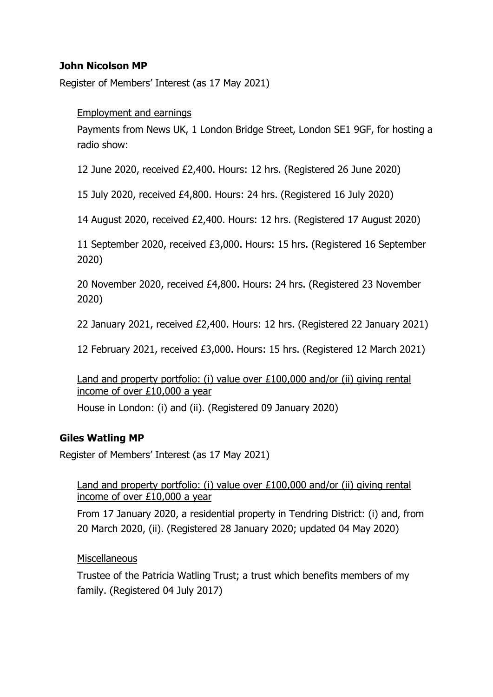# **John Nicolson MP**

Register of Members' Interest (as 17 May 2021)

#### Employment and earnings

Payments from News UK, 1 London Bridge Street, London SE1 9GF, for hosting a radio show:

12 June 2020, received £2,400. Hours: 12 hrs. (Registered 26 June 2020)

15 July 2020, received £4,800. Hours: 24 hrs. (Registered 16 July 2020)

14 August 2020, received £2,400. Hours: 12 hrs. (Registered 17 August 2020)

11 September 2020, received £3,000. Hours: 15 hrs. (Registered 16 September 2020)

20 November 2020, received £4,800. Hours: 24 hrs. (Registered 23 November 2020)

22 January 2021, received £2,400. Hours: 12 hrs. (Registered 22 January 2021)

12 February 2021, received £3,000. Hours: 15 hrs. (Registered 12 March 2021)

Land and property portfolio: (i) value over £100,000 and/or (ii) giving rental income of over £10,000 a year

House in London: (i) and (ii). (Registered 09 January 2020)

### **Giles Watling MP**

Register of Members' Interest (as 17 May 2021)

Land and property portfolio: (i) value over £100,000 and/or (ii) giving rental income of over £10,000 a year

From 17 January 2020, a residential property in Tendring District: (i) and, from 20 March 2020, (ii). (Registered 28 January 2020; updated 04 May 2020)

#### **Miscellaneous**

Trustee of the Patricia Watling Trust; a trust which benefits members of my family. (Registered 04 July 2017)